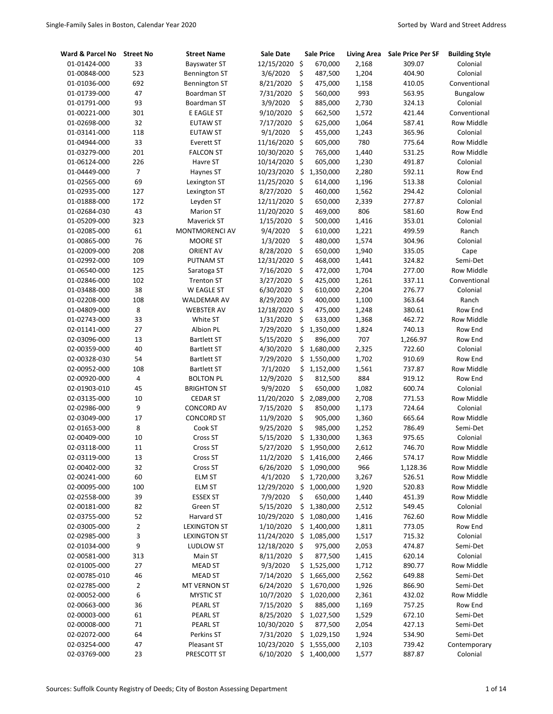| Ward & Parcel No | <b>Street No</b> | <b>Street Name</b>    | <b>Sale Date</b> | <b>Sale Price</b> | <b>Living Area</b> | <b>Sale Price Per SF</b> | <b>Building Style</b> |
|------------------|------------------|-----------------------|------------------|-------------------|--------------------|--------------------------|-----------------------|
| 01-01424-000     | 33               | <b>Bayswater ST</b>   | 12/15/2020       | \$<br>670,000     | 2,168              | 309.07                   | Colonial              |
| 01-00848-000     | 523              | Bennington ST         | 3/6/2020         | \$<br>487,500     | 1,204              | 404.90                   | Colonial              |
| 01-01036-000     | 692              | Bennington ST         | 8/21/2020        | \$<br>475,000     | 1,158              | 410.05                   | Conventional          |
| 01-01739-000     | 47               | Boardman ST           | 7/31/2020        | \$<br>560,000     | 993                | 563.95                   | Bungalow              |
| 01-01791-000     | 93               | Boardman ST           | 3/9/2020         | \$<br>885,000     | 2,730              | 324.13                   | Colonial              |
| 01-00221-000     | 301              | E EAGLE ST            | 9/10/2020        | \$<br>662,500     | 1,572              | 421.44                   | Conventional          |
| 01-02698-000     | 32               | <b>EUTAW ST</b>       | 7/17/2020        | \$<br>625,000     | 1,064              | 587.41                   | Row Middle            |
| 01-03141-000     | 118              | <b>EUTAW ST</b>       | 9/1/2020         | \$<br>455,000     | 1,243              | 365.96                   | Colonial              |
| 01-04944-000     | 33               | Everett ST            | 11/16/2020       | \$<br>605,000     | 780                | 775.64                   | Row Middle            |
| 01-03279-000     | 201              | <b>FALCON ST</b>      | 10/30/2020       | \$<br>765,000     | 1,440              | 531.25                   | Row Middle            |
| 01-06124-000     | 226              | Havre ST              | 10/14/2020       | \$<br>605,000     | 1,230              | 491.87                   | Colonial              |
| 01-04449-000     | $\overline{7}$   | Haynes ST             | 10/23/2020       | \$<br>1,350,000   | 2,280              | 592.11                   | Row End               |
| 01-02565-000     | 69               | Lexington ST          | 11/25/2020       | \$<br>614,000     | 1,196              | 513.38                   | Colonial              |
| 01-02935-000     | 127              | Lexington ST          | 8/27/2020        | \$<br>460,000     | 1,562              | 294.42                   | Colonial              |
| 01-01888-000     | 172              | Leyden ST             | 12/11/2020       | \$<br>650,000     | 2,339              | 277.87                   | Colonial              |
| 01-02684-030     | 43               | <b>Marion ST</b>      | 11/20/2020       | \$<br>469,000     | 806                | 581.60                   | Row End               |
| 01-05209-000     | 323              | Maverick ST           | 1/15/2020        | \$<br>500,000     | 1,416              | 353.01                   | Colonial              |
| 01-02085-000     | 61               | <b>MONTMORENCI AV</b> | 9/4/2020         | \$<br>610,000     | 1,221              | 499.59                   | Ranch                 |
| 01-00865-000     | 76               | <b>MOORE ST</b>       | 1/3/2020         | \$<br>480,000     | 1,574              | 304.96                   | Colonial              |
| 01-02009-000     | 208              | <b>ORIENT AV</b>      | 8/28/2020        | \$<br>650,000     | 1,940              | 335.05                   | Cape                  |
| 01-02992-000     | 109              | <b>PUTNAM ST</b>      | 12/31/2020       | \$<br>468,000     | 1,441              | 324.82                   | Semi-Det              |
| 01-06540-000     | 125              | Saratoga ST           | 7/16/2020        | \$<br>472,000     | 1,704              | 277.00                   | Row Middle            |
| 01-02846-000     | 102              | <b>Trenton ST</b>     | 3/27/2020        | \$<br>425,000     | 1,261              | 337.11                   | Conventional          |
| 01-03488-000     | 38               | W EAGLE ST            | 6/30/2020        | \$<br>610,000     | 2,204              | 276.77                   | Colonial              |
| 01-02208-000     | 108              | WALDEMAR AV           | 8/29/2020        | \$<br>400,000     | 1,100              | 363.64                   | Ranch                 |
| 01-04809-000     | 8                | <b>WEBSTER AV</b>     | 12/18/2020       | \$<br>475,000     | 1,248              | 380.61                   | Row End               |
| 01-02743-000     | 33               | White ST              | 1/31/2020        | \$<br>633,000     | 1,368              | 462.72                   | Row Middle            |
| 02-01141-000     | 27               | Albion PL             | 7/29/2020        | \$<br>1,350,000   | 1,824              | 740.13                   | Row End               |
| 02-03096-000     | 13               | <b>Bartlett ST</b>    | 5/15/2020        | \$<br>896,000     | 707                | 1,266.97                 | Row End               |
| 02-00359-000     | 40               | <b>Bartlett ST</b>    | 4/30/2020        | \$<br>1,680,000   | 2,325              | 722.60                   | Colonial              |
| 02-00328-030     | 54               | <b>Bartlett ST</b>    | 7/29/2020        | \$<br>1,550,000   | 1,702              | 910.69                   | Row End               |
| 02-00952-000     | 108              | <b>Bartlett ST</b>    | 7/1/2020         | \$<br>1,152,000   | 1,561              | 737.87                   | Row Middle            |
| 02-00920-000     | 4                | <b>BOLTON PL</b>      | 12/9/2020        | \$<br>812,500     | 884                | 919.12                   | Row End               |
| 02-01903-010     | 45               | <b>BRIGHTON ST</b>    | 9/9/2020         | \$<br>650,000     | 1,082              | 600.74                   | Colonial              |
| 02-03135-000     | 10               | <b>CEDAR ST</b>       | 11/20/2020       | \$<br>2,089,000   | 2,708              | 771.53                   | Row Middle            |
| 02-02986-000     | 9                | <b>CONCORD AV</b>     | 7/15/2020        | \$<br>850,000     | 1,173              | 724.64                   | Colonial              |
| 02-03049-000     | 17               | <b>CONCORD ST</b>     | 11/9/2020        | \$<br>905,000     | 1,360              | 665.64                   | Row Middle            |
| 02-01653-000     | 8                | Cook ST               | 9/25/2020        | \$<br>985,000     | 1,252              | 786.49                   | Semi-Det              |
| 02-00409-000     | 10               | Cross ST              | 5/15/2020        | \$<br>1,330,000   | 1,363              | 975.65                   | Colonial              |
| 02-03118-000     | 11               | Cross ST              | 5/27/2020        | \$<br>1,950,000   | 2,612              | 746.70                   | Row Middle            |
| 02-03119-000     | 13               | Cross ST              | 11/2/2020        | \$<br>1,416,000   | 2,466              | 574.17                   | Row Middle            |
| 02-00402-000     | 32               | Cross ST              | 6/26/2020        | \$<br>1,090,000   | 966                | 1,128.36                 | Row Middle            |
| 02-00241-000     | 60               | <b>ELM ST</b>         | 4/1/2020         | \$<br>1,720,000   | 3,267              | 526.51                   | Row Middle            |
| 02-00095-000     | 100              | ELM ST                | 12/29/2020       | \$<br>1,000,000   | 1,920              | 520.83                   | Row Middle            |
| 02-02558-000     | 39               | <b>ESSEX ST</b>       | 7/9/2020         | \$<br>650,000     | 1,440              | 451.39                   | Row Middle            |
| 02-00181-000     | 82               | Green ST              | 5/15/2020        | \$<br>1,380,000   | 2,512              | 549.45                   | Colonial              |
| 02-03755-000     | 52               | Harvard ST            | 10/29/2020       | \$<br>1,080,000   | 1,416              | 762.60                   | Row Middle            |
| 02-03005-000     | $\overline{2}$   | <b>LEXINGTON ST</b>   | 1/10/2020        | \$<br>1,400,000   | 1,811              | 773.05                   | Row End               |
| 02-02985-000     | 3                | <b>LEXINGTON ST</b>   | 11/24/2020       | \$<br>1,085,000   | 1,517              | 715.32                   | Colonial              |
| 02-01034-000     | 9                | LUDLOW ST             | 12/18/2020       | \$<br>975,000     | 2,053              | 474.87                   | Semi-Det              |
| 02-00581-000     | 313              | Main ST               | 8/11/2020        | \$<br>877,500     | 1,415              | 620.14                   | Colonial              |
| 02-01005-000     | 27               | <b>MEAD ST</b>        | 9/3/2020         | \$<br>1,525,000   | 1,712              | 890.77                   | Row Middle            |
| 02-00785-010     | 46               | <b>MEAD ST</b>        | 7/14/2020        | \$<br>1,665,000   | 2,562              | 649.88                   | Semi-Det              |
| 02-02785-000     | $\mathbf 2$      | MT VERNON ST          | 6/24/2020        | \$<br>1,670,000   | 1,926              | 866.90                   | Semi-Det              |
| 02-00052-000     | 6                | <b>MYSTIC ST</b>      | 10/7/2020        | \$<br>1,020,000   | 2,361              | 432.02                   | Row Middle            |
| 02-00663-000     | 36               | PEARL ST              | 7/15/2020        | \$<br>885,000     | 1,169              | 757.25                   | Row End               |
| 02-00003-000     | 61               | PEARL ST              | 8/25/2020        | \$<br>1,027,500   | 1,529              | 672.10                   | Semi-Det              |
| 02-00008-000     | 71               | PEARL ST              | 10/30/2020       | \$<br>877,500     | 2,054              | 427.13                   | Semi-Det              |
| 02-02072-000     | 64               | Perkins ST            | 7/31/2020        | \$<br>1,029,150   | 1,924              | 534.90                   | Semi-Det              |
| 02-03254-000     | 47               | Pleasant ST           | 10/23/2020       | \$<br>1,555,000   | 2,103              | 739.42                   | Contemporary          |
| 02-03769-000     | 23               | PRESCOTT ST           | 6/10/2020        | \$1,400,000       | 1,577              | 887.87                   | Colonial              |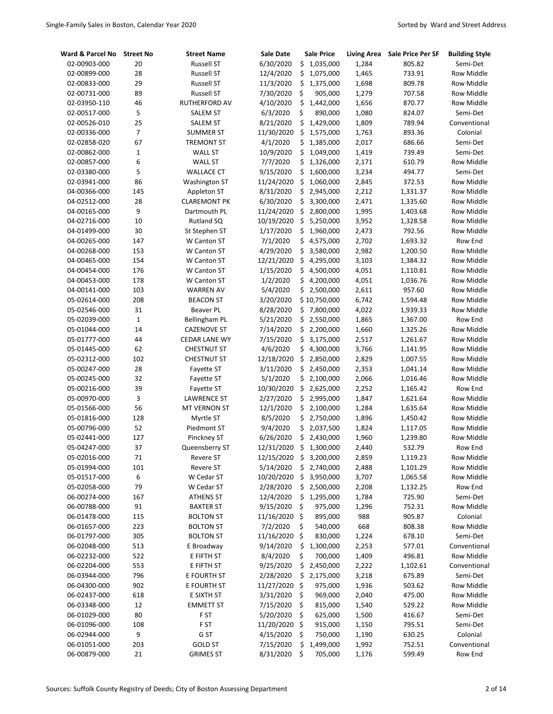| Ward & Parcel No | <b>Street No</b> | <b>Street Name</b>   | Sale Date  | <b>Sale Price</b> | Living Area | <b>Sale Price Per SF</b> | <b>Building Style</b> |
|------------------|------------------|----------------------|------------|-------------------|-------------|--------------------------|-----------------------|
| 02-00903-000     | 20               | <b>Russell ST</b>    | 6/30/2020  | \$1,035,000       | 1,284       | 805.82                   | Semi-Det              |
| 02-00899-000     | 28               | <b>Russell ST</b>    | 12/4/2020  | \$<br>1,075,000   | 1,465       | 733.91                   | <b>Row Middle</b>     |
| 02-00833-000     | 29               | <b>Russell ST</b>    | 11/3/2020  | \$<br>1,375,000   | 1,698       | 809.78                   | <b>Row Middle</b>     |
| 02-00731-000     | 89               | <b>Russell ST</b>    | 7/30/2020  | \$<br>905,000     | 1,279       | 707.58                   | Row Middle            |
| 02-03950-110     | 46               | <b>RUTHERFORD AV</b> | 4/10/2020  | \$<br>1,442,000   | 1,656       | 870.77                   | <b>Row Middle</b>     |
| 02-00517-000     | 5                | <b>SALEM ST</b>      | 6/3/2020   | \$<br>890,000     | 1,080       | 824.07                   | Semi-Det              |
| 02-00526-010     | 25               | <b>SALEM ST</b>      | 8/21/2020  | \$<br>1,429,000   | 1,809       | 789.94                   | Conventional          |
| 02-00336-000     | $\overline{7}$   | <b>SUMMER ST</b>     | 11/30/2020 | \$<br>1,575,000   | 1,763       | 893.36                   | Colonial              |
| 02-02858-020     | 67               | <b>TREMONT ST</b>    | 4/1/2020   | \$<br>1,385,000   | 2,017       | 686.66                   | Semi-Det              |
| 02-00862-000     | $\mathbf{1}$     | WALL ST              | 10/9/2020  | \$<br>1,049,000   | 1,419       | 739.49                   | Semi-Det              |
| 02-00857-000     | 6                | <b>WALL ST</b>       | 7/7/2020   | \$<br>1,326,000   | 2,171       | 610.79                   | Row Middle            |
| 02-03380-000     | 5                | <b>WALLACE CT</b>    | 9/15/2020  | \$<br>1,600,000   | 3,234       | 494.77                   | Semi-Det              |
| 02-03941-000     | 86               | <b>Washington ST</b> | 11/24/2020 | \$<br>1,060,000   | 2,845       | 372.53                   | Row Middle            |
| 04-00366-000     | 145              | Appleton ST          | 8/31/2020  | \$<br>2,945,000   | 2,212       | 1,331.37                 | Row Middle            |
| 04-02512-000     | 28               | <b>CLAREMONT PK</b>  | 6/30/2020  | \$<br>3,300,000   | 2,471       | 1,335.60                 | Row Middle            |
| 04-00165-000     | 9                | Dartmouth PL         | 11/24/2020 | \$<br>2,800,000   | 1,995       | 1,403.68                 | Row Middle            |
| 04-02716-000     | 10               | Rutland SQ           | 10/19/2020 | \$<br>5,250,000   | 3,952       | 1,328.58                 | Row Middle            |
| 04-01499-000     | 30               | St Stephen ST        | 1/17/2020  | \$<br>1,960,000   | 2,473       | 792.56                   | <b>Row Middle</b>     |
| 04-00265-000     | 147              | W Canton ST          | 7/1/2020   | \$<br>4,575,000   | 2,702       | 1,693.32                 | Row End               |
| 04-00268-000     | 153              | W Canton ST          | 4/29/2020  | \$<br>3,580,000   | 2,982       | 1,200.50                 | <b>Row Middle</b>     |
| 04-00465-000     | 154              | W Canton ST          | 12/21/2020 | \$<br>4,295,000   | 3,103       | 1,384.32                 | <b>Row Middle</b>     |
| 04-00454-000     | 176              | W Canton ST          | 1/15/2020  | \$<br>4,500,000   | 4,051       | 1,110.81                 | Row Middle            |
| 04-00453-000     | 178              | W Canton ST          | 1/2/2020   | \$<br>4,200,000   | 4,051       | 1,036.76                 | <b>Row Middle</b>     |
| 04-00141-000     | 103              | <b>WARREN AV</b>     | 5/4/2020   | \$<br>2,500,000   | 2,611       | 957.60                   | <b>Row Middle</b>     |
| 05-02614-000     | 208              | <b>BEACON ST</b>     | 3/20/2020  | \$10,750,000      | 6,742       | 1,594.48                 | Row Middle            |
| 05-02546-000     | 31               | <b>Beaver PL</b>     | 8/28/2020  | \$<br>7,800,000   | 4,022       | 1,939.33                 | Row Middle            |
| 05-02039-000     | $\mathbf 1$      | <b>Bellingham PL</b> | 5/21/2020  | \$<br>2,550,000   | 1,865       | 1,367.00                 | Row End               |
| 05-01044-000     | 14               | <b>CAZENOVE ST</b>   | 7/14/2020  | \$<br>2,200,000   | 1,660       | 1,325.26                 | <b>Row Middle</b>     |
| 05-01777-000     | 44               | <b>CEDAR LANE WY</b> | 7/15/2020  | \$<br>3,175,000   | 2,517       | 1,261.67                 | Row Middle            |
| 05-01445-000     | 62               | <b>CHESTNUT ST</b>   | 4/6/2020   | \$<br>4,300,000   | 3,766       | 1,141.95                 | Row Middle            |
| 05-02312-000     | 102              | <b>CHESTNUT ST</b>   | 12/18/2020 | \$<br>2,850,000   | 2,829       | 1,007.55                 | Row Middle            |
| 05-00247-000     | 28               | Fayette ST           | 3/11/2020  | \$<br>2,450,000   | 2,353       | 1,041.14                 | Row Middle            |
| 05-00245-000     | 32               | Fayette ST           | 5/1/2020   | \$2,100,000       | 2,066       | 1,016.46                 | Row Middle            |
| 05-00216-000     | 39               | Fayette ST           | 10/30/2020 | \$<br>2,625,000   | 2,252       | 1,165.42                 | Row End               |
| 05-00970-000     | 3                | <b>LAWRENCE ST</b>   | 2/27/2020  | \$<br>2,995,000   | 1,847       | 1,621.64                 | <b>Row Middle</b>     |
| 05-01566-000     | 56               | <b>MT VERNON ST</b>  | 12/1/2020  | \$<br>2,100,000   | 1,284       | 1,635.64                 | <b>Row Middle</b>     |
| 05-01816-000     | 128              | Myrtle ST            | 8/5/2020   | \$<br>2,750,000   | 1,896       | 1,450.42                 | <b>Row Middle</b>     |
| 05-00796-000     | 52               | Piedmont ST          | 9/4/2020   | \$<br>2,037,500   | 1,824       | 1,117.05                 | Row Middle            |
| 05-02441-000     | 127              | Pinckney ST          | 6/26/2020  | \$<br>2,430,000   | 1,960       | 1,239.80                 | <b>Row Middle</b>     |
| 05-04247-000     | 37               | Queensberry ST       | 12/31/2020 | \$<br>1,300,000   | 2,440       | 532.79                   | Row End               |
| 05-02016-000     | 71               | Revere ST            | 12/15/2020 | \$<br>3,200,000   | 2,859       | 1,119.23                 | Row Middle            |
| 05-01994-000     | 101              | Revere ST            | 5/14/2020  | \$<br>2,740,000   | 2,488       | 1,101.29                 | Row Middle            |
| 05-01517-000     | 6                | W Cedar ST           | 10/20/2020 | \$<br>3,950,000   | 3,707       | 1,065.58                 | Row Middle            |
| 05-02058-000     | 79               | W Cedar ST           | 2/28/2020  | \$2,500,000       | 2,208       | 1,132.25                 | Row End               |
| 06-00274-000     | 167              | <b>ATHENS ST</b>     | 12/4/2020  | \$<br>1,295,000   | 1,784       | 725.90                   | Semi-Det              |
| 06-00788-000     | 91               | <b>BAXTER ST</b>     | 9/15/2020  | \$<br>975,000     | 1,296       | 752.31                   | Row Middle            |
| 06-01478-000     | 115              | <b>BOLTON ST</b>     | 11/16/2020 | \$<br>895,000     | 988         | 905.87                   | Colonial              |
| 06-01657-000     | 223              | <b>BOLTON ST</b>     | 7/2/2020   | \$<br>540,000     | 668         | 808.38                   | Row Middle            |
| 06-01797-000     | 305              | <b>BOLTON ST</b>     | 11/16/2020 | \$<br>830,000     | 1,224       | 678.10                   | Semi-Det              |
| 06-02048-000     | 513              | E Broadway           | 9/14/2020  | \$<br>1,300,000   | 2,253       | 577.01                   | Conventional          |
| 06-02232-000     | 522              | E FIFTH ST           | 8/4/2020   | \$<br>700,000     | 1,409       | 496.81                   | Row Middle            |
| 06-02204-000     | 553              | E FIFTH ST           | 9/25/2020  | \$<br>2,450,000   | 2,222       | 1,102.61                 | Conventional          |
| 06-03944-000     | 796              | E FOURTH ST          | 2/28/2020  | \$<br>2,175,000   | 3,218       | 675.89                   | Semi-Det              |
| 06-04300-000     | 902              | E FOURTH ST          | 11/27/2020 | \$<br>975,000     | 1,936       | 503.62                   | Row Middle            |
| 06-02437-000     | 618              | E SIXTH ST           | 3/31/2020  | \$<br>969,000     | 2,040       | 475.00                   | Row Middle            |
| 06-03348-000     | 12               | <b>EMMETT ST</b>     | 7/15/2020  | \$<br>815,000     | 1,540       | 529.22                   | Row Middle            |
| 06-01029-000     | 80               | F ST                 | 5/20/2020  | \$<br>625,000     | 1,500       | 416.67                   | Semi-Det              |
| 06-01096-000     | 108              | F ST                 | 11/20/2020 | \$<br>915,000     | 1,150       | 795.51                   | Semi-Det              |
| 06-02944-000     | 9                | G ST                 | 4/15/2020  | \$<br>750,000     | 1,190       | 630.25                   | Colonial              |
| 06-01051-000     | 203              | <b>GOLD ST</b>       | 7/15/2020  | \$<br>1,499,000   | 1,992       | 752.51                   | Conventional          |
| 06-00879-000     | $21\,$           | <b>GRIMES ST</b>     | 8/31/2020  | \$<br>705,000     | 1,176       | 599.49                   | Row End               |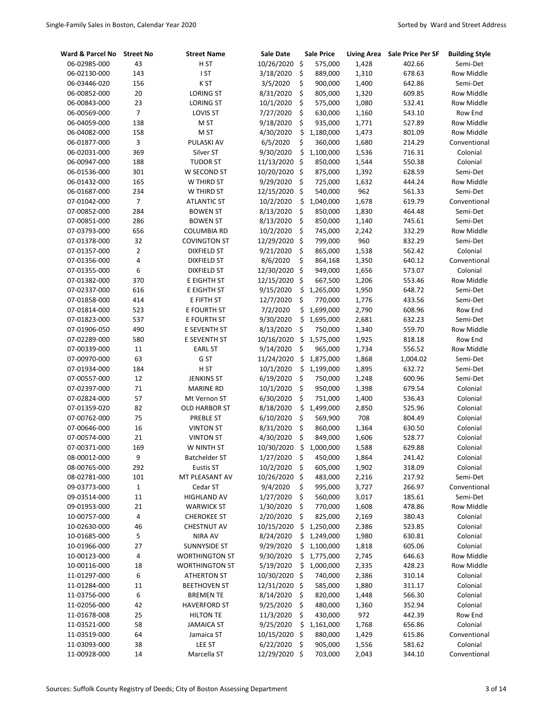| Ward & Parcel No | <b>Street No</b> | <b>Street Name</b>    | <b>Sale Date</b> | <b>Sale Price</b> | <b>Living Area</b> | <b>Sale Price Per SF</b> | <b>Building Style</b> |
|------------------|------------------|-----------------------|------------------|-------------------|--------------------|--------------------------|-----------------------|
| 06-02985-000     | 43               | H ST                  | 10/26/2020       | \$<br>575,000     | 1,428              | 402.66                   | Semi-Det              |
| 06-02130-000     | 143              | I ST                  | 3/18/2020        | \$<br>889,000     | 1,310              | 678.63                   | <b>Row Middle</b>     |
| 06-03446-020     | 156              | K ST                  | 3/5/2020         | \$<br>900,000     | 1,400              | 642.86                   | Semi-Det              |
| 06-00852-000     | 20               | <b>LORING ST</b>      | 8/31/2020        | \$<br>805,000     | 1,320              | 609.85                   | Row Middle            |
| 06-00843-000     | 23               | <b>LORING ST</b>      | 10/1/2020        | \$<br>575,000     | 1,080              | 532.41                   | Row Middle            |
| 06-00569-000     | $\boldsymbol{7}$ | LOVIS ST              | 7/27/2020        | \$<br>630,000     | 1,160              | 543.10                   | Row End               |
| 06-04059-000     | 138              | M ST                  | 9/18/2020        | \$<br>935,000     | 1,771              | 527.89                   | <b>Row Middle</b>     |
| 06-04082-000     | 158              | M ST                  | 4/30/2020        | \$<br>1,180,000   | 1,473              | 801.09                   | Row Middle            |
| 06-01877-000     | 3                | PULASKI AV            | 6/5/2020         | \$<br>360,000     | 1,680              | 214.29                   | Conventional          |
| 06-02031-000     | 369              | Silver ST             | 9/30/2020        | \$<br>1,100,000   | 1,536              | 716.31                   | Colonial              |
| 06-00947-000     | 188              | <b>TUDOR ST</b>       | 11/13/2020       | \$<br>850,000     | 1,544              | 550.38                   | Colonial              |
| 06-01536-000     | 301              | W SECOND ST           | 10/20/2020       | \$<br>875,000     | 1,392              | 628.59                   | Semi-Det              |
| 06-01432-000     | 165              | W THIRD ST            | 9/29/2020        | \$<br>725,000     | 1,632              | 444.24                   | Row Middle            |
| 06-01687-000     | 234              | W THIRD ST            | 12/15/2020       | \$<br>540,000     | 962                | 561.33                   | Semi-Det              |
| 07-01042-000     | $\overline{7}$   | <b>ATLANTIC ST</b>    | 10/2/2020        | \$<br>1,040,000   | 1,678              | 619.79                   | Conventional          |
| 07-00852-000     | 284              | <b>BOWEN ST</b>       | 8/13/2020        | \$<br>850,000     | 1,830              | 464.48                   | Semi-Det              |
| 07-00851-000     | 286              | <b>BOWEN ST</b>       | 8/13/2020        | \$<br>850,000     | 1,140              | 745.61                   | Semi-Det              |
| 07-03793-000     | 656              | <b>COLUMBIA RD</b>    | 10/2/2020        | \$<br>745,000     | 2,242              | 332.29                   | Row Middle            |
| 07-01378-000     | 32               | <b>COVINGTON ST</b>   | 12/29/2020       | \$<br>799,000     | 960                | 832.29                   | Semi-Det              |
| 07-01357-000     | $\overline{2}$   | <b>DIXFIELD ST</b>    | 9/21/2020        | \$<br>865,000     | 1,538              | 562.42                   | Colonial              |
| 07-01356-000     | 4                | <b>DIXFIELD ST</b>    | 8/6/2020         | \$<br>864,168     | 1,350              | 640.12                   | Conventional          |
| 07-01355-000     | 6                | <b>DIXFIELD ST</b>    | 12/30/2020       | \$<br>949,000     | 1,656              | 573.07                   | Colonial              |
| 07-01382-000     | 370              | E EIGHTH ST           | 12/15/2020       | \$<br>667,500     | 1,206              | 553.46                   | <b>Row Middle</b>     |
| 07-02337-000     | 616              | E EIGHTH ST           | 9/15/2020        | \$<br>1,265,000   | 1,950              | 648.72                   | Semi-Det              |
| 07-01858-000     | 414              | E FIFTH ST            | 12/7/2020        | \$<br>770,000     | 1,776              | 433.56                   | Semi-Det              |
| 07-01814-000     | 523              | E FOURTH ST           | 7/2/2020         | \$<br>1,699,000   | 2,790              | 608.96                   | Row End               |
| 07-01823-000     | 537              | E FOURTH ST           | 9/30/2020        | \$<br>1,695,000   | 2,681              | 632.23                   | Semi-Det              |
| 07-01906-050     | 490              | E SEVENTH ST          | 8/13/2020        | \$<br>750,000     | 1,340              | 559.70                   | Row Middle            |
| 07-02289-000     | 580              | E SEVENTH ST          | 10/16/2020       | \$<br>1,575,000   | 1,925              | 818.18                   | Row End               |
| 07-00339-000     | 11               | <b>EARL ST</b>        | 9/14/2020        | \$<br>965,000     | 1,734              | 556.52                   | Row Middle            |
| 07-00970-000     | 63               | G ST                  | 11/24/2020       | \$<br>1,875,000   | 1,868              | 1,004.02                 | Semi-Det              |
| 07-01934-000     | 184              | H ST                  | 10/1/2020        | \$<br>1,199,000   | 1,895              | 632.72                   | Semi-Det              |
| 07-00557-000     | 12               | <b>JENKINS ST</b>     | 6/19/2020        | \$<br>750,000     | 1,248              | 600.96                   | Semi-Det              |
| 07-02397-000     | 71               | <b>MARINE RD</b>      | 10/1/2020        | \$<br>950,000     | 1,398              | 679.54                   | Colonial              |
| 07-02824-000     | 57               | Mt Vernon ST          | 6/30/2020        | \$<br>751,000     | 1,400              | 536.43                   | Colonial              |
| 07-01359-020     | 82               | <b>OLD HARBOR ST</b>  | 8/18/2020        | \$<br>1,499,000   | 2,850              | 525.96                   | Colonial              |
| 07-00762-000     | 75               | <b>PREBLE ST</b>      | 6/10/2020        | \$<br>569,900     | 708                | 804.49                   | Colonial              |
| 07-00646-000     | 16               | <b>VINTON ST</b>      | 8/31/2020        | \$<br>860,000     | 1,364              | 630.50                   | Colonial              |
| 07-00574-000     | 21               | <b>VINTON ST</b>      | 4/30/2020        | \$<br>849,000     | 1,606              | 528.77                   | Colonial              |
| 07-00371-000     | 169              | W NINTH ST            | 10/30/2020       | \$<br>1,000,000   | 1,588              | 629.88                   | Colonial              |
| 08-00012-000     | 9                | <b>Batchelder ST</b>  | 1/27/2020        | \$<br>450,000     | 1,864              | 241.42                   | Colonial              |
| 08-00765-000     | 292              | <b>Eustis ST</b>      | 10/2/2020        | \$<br>605,000     | 1,902              | 318.09                   | Colonial              |
| 08-02781-000     | 101              | MT PLEASANT AV        | 10/26/2020       | \$<br>483,000     | 2,216              | 217.92                   | Semi-Det              |
| 09-03773-000     | $\mathbf 1$      | Cedar ST              | 9/4/2020         | \$<br>995,000     | 3,727              | 266.97                   | Conventional          |
| 09-03514-000     | $11\,$           | <b>HIGHLAND AV</b>    | 1/27/2020        | \$<br>560,000     | 3,017              | 185.61                   | Semi-Det              |
| 09-01953-000     | 21               | <b>WARWICK ST</b>     | 1/30/2020        | \$<br>770,000     | 1,608              | 478.86                   | Row Middle            |
| 10-00757-000     | $\pmb{4}$        | <b>CHEROKEE ST</b>    | 2/20/2020        | \$<br>825,000     | 2,169              | 380.43                   | Colonial              |
| 10-02630-000     | 46               | <b>CHESTNUT AV</b>    | 10/15/2020       | \$<br>1,250,000   | 2,386              | 523.85                   | Colonial              |
| 10-01685-000     | 5                | <b>NIRA AV</b>        | 8/24/2020        | \$<br>1,249,000   | 1,980              | 630.81                   | Colonial              |
| 10-01966-000     | 27               | <b>SUNNYSIDE ST</b>   | 9/29/2020        | \$<br>1,100,000   | 1,818              | 605.06                   | Colonial              |
| 10-00123-000     | $\pmb{4}$        | <b>WORTHINGTON ST</b> | 9/30/2020        | \$<br>1,775,000   | 2,745              | 646.63                   | <b>Row Middle</b>     |
| 10-00116-000     | 18               | <b>WORTHINGTON ST</b> | 5/19/2020        | \$<br>1,000,000   | 2,335              | 428.23                   | Row Middle            |
| 11-01297-000     | 6                | <b>ATHERTON ST</b>    | 10/30/2020       | \$<br>740,000     | 2,386              | 310.14                   | Colonial              |
| 11-01284-000     | 11               | <b>BEETHOVEN ST</b>   | 12/31/2020       | \$<br>585,000     | 1,880              | 311.17                   | Colonial              |
| 11-03756-000     | 6                | <b>BREMENTE</b>       | 8/14/2020        | \$<br>820,000     | 1,448              | 566.30                   | Colonial              |
| 11-02056-000     | 42               | <b>HAVERFORD ST</b>   | 9/25/2020        | \$<br>480,000     | 1,360              | 352.94                   | Colonial              |
| 11-01678-008     | 25               | <b>HILTON TE</b>      | 11/3/2020        | \$<br>430,000     | 972                | 442.39                   | Row End               |
| 11-03521-000     | 58               | <b>JAMAICA ST</b>     | 9/25/2020        | \$<br>1,161,000   | 1,768              | 656.86                   | Colonial              |
| 11-03519-000     | 64               | Jamaica ST            | 10/15/2020       | \$<br>880,000     | 1,429              | 615.86                   | Conventional          |
| 11-03093-000     | 38               | <b>LEE ST</b>         | 6/22/2020        | \$<br>905,000     | 1,556              | 581.62                   | Colonial              |
| 11-00928-000     | 14               | Marcella ST           | 12/29/2020 \$    | 703,000           | 2,043              | 344.10                   | Conventional          |
|                  |                  |                       |                  |                   |                    |                          |                       |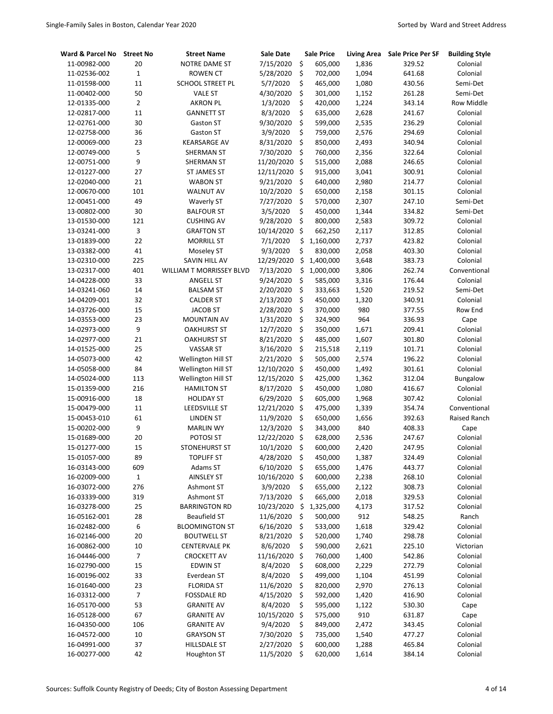| Ward & Parcel No | <b>Street No</b> | <b>Street Name</b>       | <b>Sale Date</b> |                    | <b>Sale Price</b> | <b>Living Area</b> | <b>Sale Price Per SF</b> | <b>Building Style</b> |
|------------------|------------------|--------------------------|------------------|--------------------|-------------------|--------------------|--------------------------|-----------------------|
| 11-00982-000     | 20               | NOTRE DAME ST            | 7/15/2020        | \$                 | 605,000           | 1,836              | 329.52                   | Colonial              |
| 11-02536-002     | $\mathbf{1}$     | <b>ROWEN CT</b>          | 5/28/2020        | \$                 | 702,000           | 1,094              | 641.68                   | Colonial              |
| 11-01598-000     | 11               | <b>SCHOOL STREET PL</b>  | 5/7/2020         | \$                 | 465,000           | 1,080              | 430.56                   | Semi-Det              |
| 11-00402-000     | 50               | <b>VALE ST</b>           | 4/30/2020        | \$                 | 301,000           | 1,152              | 261.28                   | Semi-Det              |
| 12-01335-000     | $\overline{2}$   | <b>AKRON PL</b>          | 1/3/2020         | \$                 | 420,000           | 1,224              | 343.14                   | <b>Row Middle</b>     |
| 12-02817-000     | 11               | <b>GANNETT ST</b>        | 8/3/2020         | \$                 | 635,000           | 2,628              | 241.67                   | Colonial              |
| 12-02761-000     | 30               | Gaston ST                | 9/30/2020        | \$                 | 599,000           | 2,535              | 236.29                   | Colonial              |
| 12-02758-000     | 36               | Gaston ST                | 3/9/2020         | \$                 | 759,000           | 2,576              | 294.69                   | Colonial              |
| 12-00069-000     | 23               | <b>KEARSARGE AV</b>      | 8/31/2020        | \$                 | 850,000           | 2,493              | 340.94                   | Colonial              |
| 12-00749-000     | 5                | SHERMAN ST               | 7/30/2020        | \$                 | 760,000           | 2,356              | 322.64                   | Colonial              |
| 12-00751-000     | 9                | SHERMAN ST               | 11/20/2020       | Ŝ.                 | 515,000           | 2,088              | 246.65                   | Colonial              |
| 12-01227-000     | 27               | ST JAMES ST              | 12/11/2020       | $\ddot{\varsigma}$ | 915,000           | 3,041              | 300.91                   | Colonial              |
| 12-02040-000     | 21               | <b>WABON ST</b>          | 9/21/2020        | \$                 | 640,000           | 2,980              | 214.77                   | Colonial              |
| 12-00670-000     | 101              | <b>WALNUT AV</b>         | 10/2/2020        | \$                 | 650,000           | 2,158              | 301.15                   | Colonial              |
| 12-00451-000     | 49               | <b>Waverly ST</b>        | 7/27/2020        | \$                 | 570,000           | 2,307              | 247.10                   | Semi-Det              |
| 13-00802-000     | 30               | <b>BALFOUR ST</b>        | 3/5/2020         | \$                 | 450,000           | 1,344              | 334.82                   | Semi-Det              |
| 13-01530-000     | 121              | <b>CUSHING AV</b>        | 9/28/2020        | \$                 | 800,000           | 2,583              | 309.72                   | Colonial              |
| 13-03241-000     | 3                | <b>GRAFTON ST</b>        | 10/14/2020       | \$                 | 662,250           | 2,117              | 312.85                   | Colonial              |
| 13-01839-000     | 22               | <b>MORRILL ST</b>        | 7/1/2020         | \$                 | 1,160,000         | 2,737              | 423.82                   | Colonial              |
| 13-03382-000     | 41               | Moseley ST               | 9/3/2020         | \$                 | 830,000           | 2,058              | 403.30                   | Colonial              |
| 13-02310-000     | 225              | <b>SAVIN HILL AV</b>     | 12/29/2020       | \$                 | 1,400,000         | 3,648              | 383.73                   | Colonial              |
| 13-02317-000     | 401              | WILLIAM T MORRISSEY BLVD | 7/13/2020        | \$                 | 1,000,000         | 3,806              | 262.74                   | Conventional          |
| 14-04228-000     | 33               | <b>ANGELL ST</b>         | 9/24/2020        | \$                 | 585,000           | 3,316              | 176.44                   | Colonial              |
| 14-03241-060     | 14               | <b>BALSAM ST</b>         | 2/20/2020        | \$                 | 333,663           | 1,520              | 219.52                   | Semi-Det              |
| 14-04209-001     | 32               | <b>CALDER ST</b>         | 2/13/2020        | \$                 | 450,000           | 1,320              | 340.91                   | Colonial              |
| 14-03726-000     | 15               | <b>JACOB ST</b>          | 2/28/2020        | \$                 | 370,000           | 980                | 377.55                   | Row End               |
| 14-03553-000     | 23               | MOUNTAIN AV              | 1/31/2020        | \$                 | 324,900           | 964                | 336.93                   | Cape                  |
| 14-02973-000     | 9                | <b>OAKHURST ST</b>       | 12/7/2020        | \$                 | 350,000           | 1,671              | 209.41                   | Colonial              |
| 14-02977-000     | 21               | <b>OAKHURST ST</b>       | 8/21/2020        | \$                 | 485,000           | 1,607              | 301.80                   | Colonial              |
| 14-01525-000     | 25               | <b>VASSAR ST</b>         | 3/16/2020        | \$                 | 215,518           | 2,119              | 101.71                   | Colonial              |
| 14-05073-000     | 42               | Wellington Hill ST       | 2/21/2020        | \$                 | 505,000           | 2,574              | 196.22                   | Colonial              |
| 14-05058-000     | 84               | Wellington Hill ST       | 12/10/2020       | Ŝ.                 | 450,000           | 1,492              | 301.61                   | Colonial              |
| 14-05024-000     | 113              | Wellington Hill ST       | 12/15/2020       | Ŝ.                 | 425,000           | 1,362              | 312.04                   | Bungalow              |
| 15-01359-000     | 216              | <b>HAMILTON ST</b>       | 8/17/2020        | \$                 | 450,000           | 1,080              | 416.67                   | Colonial              |
| 15-00916-000     | 18               | <b>HOLIDAY ST</b>        | 6/29/2020        | \$                 | 605,000           | 1,968              | 307.42                   | Colonial              |
| 15-00479-000     | 11               | <b>LEEDSVILLE ST</b>     | 12/21/2020       | \$                 | 475,000           | 1,339              | 354.74                   | Conventional          |
| 15-00453-010     | 61               | <b>LINDEN ST</b>         | 11/9/2020        | \$                 | 650,000           | 1,656              | 392.63                   | Raised Ranch          |
| 15-00202-000     | 9                | <b>MARLIN WY</b>         | 12/3/2020        | \$                 | 343,000           | 840                | 408.33                   | Cape                  |
| 15-01689-000     | 20               | POTOSI ST                | 12/22/2020       | $\zeta$            | 628,000           | 2,536              | 247.67                   | Colonial              |
| 15-01277-000     | 15               | <b>STONEHURST ST</b>     | 10/1/2020        | Ś                  | 600,000           | 2,420              | 247.95                   | Colonial              |
| 15-01057-000     | 89               | <b>TOPLIFF ST</b>        | 4/28/2020        | \$                 | 450,000           | 1,387              | 324.49                   | Colonial              |
| 16-03143-000     | 609              | Adams ST                 | 6/10/2020        | \$                 | 655,000           | 1,476              | 443.77                   | Colonial              |
| 16-02009-000     | $\mathbf 1$      | <b>AINSLEY ST</b>        | 10/16/2020       | \$                 | 600,000           | 2,238              | 268.10                   | Colonial              |
| 16-03072-000     | 276              | Ashmont ST               | 3/9/2020         | \$                 | 655,000           | 2,122              | 308.73                   | Colonial              |
| 16-03339-000     | 319              | Ashmont ST               | 7/13/2020        | \$                 | 665,000           | 2,018              | 329.53                   | Colonial              |
| 16-03278-000     | 25               | <b>BARRINGTON RD</b>     | 10/23/2020       | \$                 | 1,325,000         | 4,173              | 317.52                   | Colonial              |
| 16-05162-001     | 28               | <b>Beaufield ST</b>      | 11/6/2020        | \$                 | 500,000           | 912                | 548.25                   | Ranch                 |
| 16-02482-000     | 6                | <b>BLOOMINGTON ST</b>    | 6/16/2020        | \$                 | 533,000           | 1,618              | 329.42                   | Colonial              |
| 16-02146-000     | 20               | <b>BOUTWELL ST</b>       | 8/21/2020        | \$                 | 520,000           | 1,740              | 298.78                   | Colonial              |
| 16-00862-000     | 10               | <b>CENTERVALE PK</b>     | 8/6/2020         | \$                 | 590,000           | 2,621              | 225.10                   | Victorian             |
| 16-04446-000     | $\overline{7}$   | <b>CROCKETT AV</b>       | 11/16/2020       | \$                 | 760,000           | 1,400              | 542.86                   | Colonial              |
| 16-02790-000     | 15               | <b>EDWIN ST</b>          | 8/4/2020         | \$                 | 608,000           | 2,229              | 272.79                   | Colonial              |
| 16-00196-002     | 33               | Everdean ST              | 8/4/2020         | \$                 | 499,000           | 1,104              | 451.99                   | Colonial              |
| 16-01640-000     | 23               | <b>FLORIDA ST</b>        | 11/6/2020        | \$                 | 820,000           | 2,970              | 276.13                   | Colonial              |
| 16-03312-000     | $\overline{7}$   | <b>FOSSDALE RD</b>       | 4/15/2020        | \$                 | 592,000           | 1,420              | 416.90                   | Colonial              |
| 16-05170-000     | 53               | <b>GRANITE AV</b>        | 8/4/2020         | \$                 | 595,000           | 1,122              | 530.30                   | Cape                  |
| 16-05128-000     | 67               | <b>GRANITE AV</b>        | 10/15/2020       | \$                 | 575,000           | 910                | 631.87                   | Cape                  |
| 16-04350-000     | 106              | <b>GRANITE AV</b>        | 9/4/2020         | \$                 | 849,000           | 2,472              | 343.45                   | Colonial              |
| 16-04572-000     | 10               | <b>GRAYSON ST</b>        | 7/30/2020        | \$                 | 735,000           | 1,540              | 477.27                   | Colonial              |
| 16-04991-000     | 37               | <b>HILLSDALE ST</b>      | 2/27/2020        | \$                 | 600,000           | 1,288              | 465.84                   | Colonial              |
| 16-00277-000     | 42               | Houghton ST              | 11/5/2020        | \$                 | 620,000           | 1,614              | 384.14                   | Colonial              |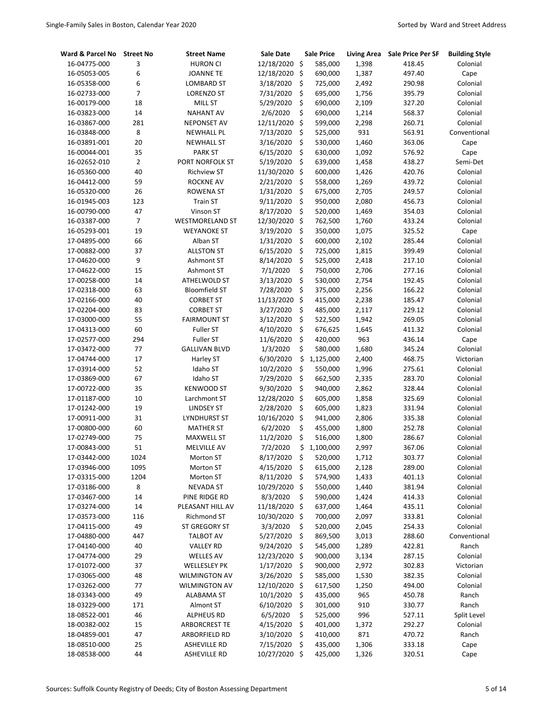| Ward & Parcel No | <b>Street No</b> | <b>Street Name</b>     | Sale Date               | <b>Sale Price</b> | <b>Living Area</b> | Sale Price Per SF | <b>Building Style</b> |
|------------------|------------------|------------------------|-------------------------|-------------------|--------------------|-------------------|-----------------------|
| 16-04775-000     | 3                | <b>HURON CI</b>        | 12/18/2020              | \$<br>585,000     | 1,398              | 418.45            | Colonial              |
| 16-05053-005     | 6                | <b>JOANNE TE</b>       | 12/18/2020              | \$<br>690,000     | 1,387              | 497.40            | Cape                  |
| 16-05358-000     | 6                | <b>LOMBARD ST</b>      | 3/18/2020               | \$<br>725,000     | 2,492              | 290.98            | Colonial              |
| 16-02733-000     | $\overline{7}$   | LORENZO ST             | 7/31/2020               | \$<br>695,000     | 1,756              | 395.79            | Colonial              |
| 16-00179-000     | 18               | MILL ST                | 5/29/2020               | \$<br>690,000     | 2,109              | 327.20            | Colonial              |
| 16-03823-000     | 14               | <b>NAHANT AV</b>       | 2/6/2020                | \$<br>690,000     | 1,214              | 568.37            | Colonial              |
| 16-03867-000     | 281              | <b>NEPONSET AV</b>     | 12/11/2020              | \$<br>599,000     | 2,298              | 260.71            | Colonial              |
| 16-03848-000     | 8                | <b>NEWHALL PL</b>      | 7/13/2020               | \$<br>525,000     | 931                | 563.91            | Conventional          |
| 16-03891-001     | 20               | <b>NEWHALL ST</b>      | 3/16/2020               | \$<br>530,000     | 1,460              | 363.06            | Cape                  |
| 16-00044-001     | 35               | <b>PARK ST</b>         | 6/15/2020               | \$<br>630,000     | 1,092              | 576.92            | Cape                  |
| 16-02652-010     | $\overline{2}$   | PORT NORFOLK ST        | 5/19/2020               | \$<br>639,000     | 1,458              | 438.27            | Semi-Det              |
| 16-05360-000     | 40               | <b>Richview ST</b>     | 11/30/2020              | \$<br>600,000     | 1,426              | 420.76            | Colonial              |
| 16-04412-000     | 59               | <b>ROCKNE AV</b>       | 2/21/2020               | \$<br>558,000     | 1,269              | 439.72            | Colonial              |
| 16-05320-000     | 26               | <b>ROWENA ST</b>       | 1/31/2020               | \$<br>675,000     | 2,705              | 249.57            | Colonial              |
| 16-01945-003     | 123              | <b>Train ST</b>        | 9/11/2020               | \$<br>950,000     | 2,080              | 456.73            | Colonial              |
| 16-00790-000     | 47               | Vinson ST              | 8/17/2020               | \$<br>520,000     | 1,469              | 354.03            | Colonial              |
| 16-03387-000     | $\overline{7}$   | <b>WESTMORELAND ST</b> | 12/30/2020              | \$<br>762,500     | 1,760              | 433.24            | Colonial              |
| 16-05293-001     | 19               | <b>WEYANOKE ST</b>     | 3/19/2020               | \$<br>350,000     | 1,075              | 325.52            | Cape                  |
| 17-04895-000     | 66               | Alban ST               | 1/31/2020               | \$<br>600,000     | 2,102              | 285.44            | Colonial              |
| 17-00882-000     | 37               | <b>ALLSTON ST</b>      | 6/15/2020               | \$<br>725,000     | 1,815              | 399.49            | Colonial              |
| 17-04620-000     | 9                | Ashmont ST             | 8/14/2020               | \$<br>525,000     | 2,418              | 217.10            | Colonial              |
| 17-04622-000     | 15               | Ashmont ST             | 7/1/2020                | \$<br>750,000     | 2,706              | 277.16            | Colonial              |
| 17-00258-000     | 14               | ATHELWOLD ST           | 3/13/2020               | \$<br>530,000     | 2,754              | 192.45            | Colonial              |
| 17-02318-000     | 63               | <b>Bloomfield ST</b>   | 7/28/2020               | \$<br>375,000     | 2,256              | 166.22            | Colonial              |
| 17-02166-000     | 40               | <b>CORBET ST</b>       | 11/13/2020              | \$<br>415,000     | 2,238              | 185.47            | Colonial              |
| 17-02204-000     | 83               | <b>CORBET ST</b>       | 3/27/2020               | \$<br>485,000     | 2,117              | 229.12            | Colonial              |
| 17-03000-000     | 55               | <b>FAIRMOUNT ST</b>    | 3/12/2020               | \$<br>522,500     | 1,942              | 269.05            | Colonial              |
| 17-04313-000     | 60               | <b>Fuller ST</b>       | 4/10/2020               | \$<br>676,625     | 1,645              | 411.32            | Colonial              |
| 17-02577-000     | 294              | <b>Fuller ST</b>       | 11/6/2020               | \$<br>420,000     | 963                | 436.14            | Cape                  |
| 17-03472-000     | 77               | <b>GALLIVAN BLVD</b>   | 1/3/2020                | \$<br>580,000     | 1,680              | 345.24            | Colonial              |
| 17-04744-000     | 17               |                        | 6/30/2020               | \$<br>1,125,000   | 2,400              | 468.75            | Victorian             |
|                  | 52               | Harley ST<br>Idaho ST  |                         | \$<br>550,000     |                    | 275.61            |                       |
| 17-03914-000     | 67               |                        | 10/2/2020<br>7/29/2020  | \$                | 1,996              | 283.70            | Colonial              |
| 17-03869-000     | 35               | Idaho ST               |                         | \$<br>662,500     | 2,335              |                   | Colonial              |
| 17-00722-000     | 10               | <b>KENWOOD ST</b>      | 9/30/2020               | \$<br>940,000     | 2,862              | 328.44            | Colonial              |
| 17-01187-000     | 19               | Larchmont ST           | 12/28/2020<br>2/28/2020 | \$<br>605,000     | 1,858              | 325.69            | Colonial              |
| 17-01242-000     | 31               | <b>LINDSEY ST</b>      | 10/16/2020              | \$<br>605,000     | 1,823              | 331.94            | Colonial              |
| 17-00911-000     | 60               | <b>LYNDHURST ST</b>    | 6/2/2020                | \$<br>941,000     | 2,806              | 335.38<br>252.78  | Colonial<br>Colonial  |
| 17-00800-000     | 75               | <b>MATHER ST</b>       | 11/2/2020               | \$<br>455,000     | 1,800              | 286.67            | Colonial              |
| 17-02749-000     |                  | <b>MAXWELL ST</b>      |                         | 516,000           | 1,800              |                   |                       |
| 17-00843-000     | 51               | MELVILLE AV            | 7/2/2020                | \$<br>1,100,000   | 2,997              | 367.06            | Colonial              |
| 17-03442-000     | 1024             | Morton ST              | 8/17/2020               | \$<br>520,000     | 1,712              | 303.77            | Colonial              |
| 17-03946-000     | 1095             | Morton ST              | 4/15/2020               | \$<br>615,000     | 2,128              | 289.00            | Colonial              |
| 17-03315-000     | 1204             | Morton ST              | 8/11/2020               | \$<br>574,900     | 1,433              | 401.13            | Colonial              |
| 17-03186-000     | 8                | <b>NEVADA ST</b>       | 10/29/2020 \$           | 550,000           | 1,440              | 381.94            | Colonial              |
| 17-03467-000     | 14               | PINE RIDGE RD          | 8/3/2020                | \$<br>590,000     | 1,424              | 414.33            | Colonial              |
| 17-03274-000     | 14               | PLEASANT HILL AV       | 11/18/2020              | \$<br>637,000     | 1,464              | 435.11            | Colonial              |
| 17-03573-000     | 116              | Richmond ST            | 10/30/2020              | \$<br>700,000     | 2,097              | 333.81            | Colonial              |
| 17-04115-000     | 49               | ST GREGORY ST          | 3/3/2020                | \$<br>520,000     | 2,045              | 254.33            | Colonial              |
| 17-04880-000     | 447              | TALBOT AV              | 5/27/2020               | \$<br>869,500     | 3,013              | 288.60            | Conventional          |
| 17-04140-000     | 40               | <b>VALLEY RD</b>       | 9/24/2020               | \$<br>545,000     | 1,289              | 422.81            | Ranch                 |
| 17-04774-000     | 29               | <b>WELLES AV</b>       | 12/23/2020              | \$<br>900,000     | 3,134              | 287.15            | Colonial              |
| 17-01072-000     | 37               | <b>WELLESLEY PK</b>    | 1/17/2020               | \$<br>900,000     | 2,972              | 302.83            | Victorian             |
| 17-03065-000     | 48               | <b>WILMINGTON AV</b>   | 3/26/2020               | \$<br>585,000     | 1,530              | 382.35            | Colonial              |
| 17-03262-000     | 77               | <b>WILMINGTON AV</b>   | 12/10/2020              | \$<br>617,500     | 1,250              | 494.00            | Colonial              |
| 18-03343-000     | 49               | <b>ALABAMA ST</b>      | 10/1/2020               | \$<br>435,000     | 965                | 450.78            | Ranch                 |
| 18-03229-000     | 171              | Almont ST              | 6/10/2020               | \$<br>301,000     | 910                | 330.77            | Ranch                 |
| 18-08522-001     | 46               | <b>ALPHEUS RD</b>      | 6/5/2020                | \$<br>525,000     | 996                | 527.11            | Split Level           |
| 18-00382-002     | 15               | <b>ARBORCREST TE</b>   | 4/15/2020               | \$<br>401,000     | 1,372              | 292.27            | Colonial              |
| 18-04859-001     | 47               | ARBORFIELD RD          | 3/10/2020               | \$<br>410,000     | 871                | 470.72            | Ranch                 |
| 18-08510-000     | 25               | <b>ASHEVILLE RD</b>    | 7/15/2020               | \$<br>435,000     | 1,306              | 333.18            | Cape                  |
| 18-08538-000     | 44               | <b>ASHEVILLE RD</b>    | 10/27/2020 \$           | 425,000           | 1,326              | 320.51            | Cape                  |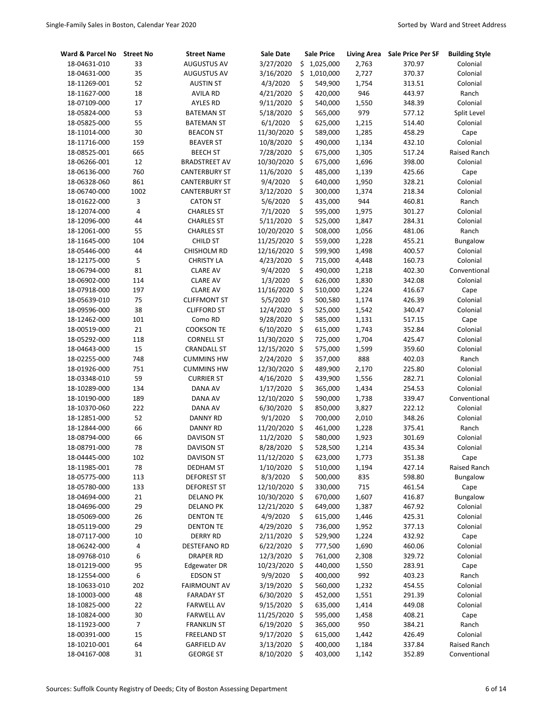| Ward & Parcel No | <b>Street No</b> | <b>Street Name</b>   | <b>Sale Date</b> |      | Sale Price  | <b>Living Area</b> | Sale Price Per SF | <b>Building Style</b> |
|------------------|------------------|----------------------|------------------|------|-------------|--------------------|-------------------|-----------------------|
| 18-04631-010     | 33               | <b>AUGUSTUS AV</b>   | 3/27/2020        |      | \$1,025,000 | 2,763              | 370.97            | Colonial              |
| 18-04631-000     | 35               | <b>AUGUSTUS AV</b>   | 3/16/2020        | \$   | 1,010,000   | 2,727              | 370.37            | Colonial              |
| 18-11269-001     | 52               | <b>AUSTIN ST</b>     | 4/3/2020         | \$   | 549,900     | 1,754              | 313.51            | Colonial              |
| 18-11627-000     | 18               | <b>AVILA RD</b>      | 4/21/2020        | \$   | 420,000     | 946                | 443.97            | Ranch                 |
| 18-07109-000     | 17               | <b>AYLES RD</b>      | 9/11/2020        | \$   | 540,000     | 1,550              | 348.39            | Colonial              |
| 18-05824-000     | 53               | <b>BATEMAN ST</b>    | 5/18/2020        | \$   | 565,000     | 979                | 577.12            | Split Level           |
| 18-05825-000     | 55               | <b>BATEMAN ST</b>    | 6/1/2020         | \$   | 625,000     | 1,215              | 514.40            | Colonial              |
| 18-11014-000     | 30               | <b>BEACON ST</b>     | 11/30/2020       | \$   | 589,000     | 1,285              | 458.29            | Cape                  |
| 18-11716-000     | 159              | <b>BEAVER ST</b>     | 10/8/2020        | \$   | 490,000     | 1,134              | 432.10            | Colonial              |
| 18-08525-001     | 665              | <b>BEECH ST</b>      | 7/28/2020        | \$   | 675,000     | 1,305              | 517.24            | Raised Ranch          |
| 18-06266-001     | 12               | <b>BRADSTREET AV</b> | 10/30/2020       | \$   | 675,000     | 1,696              | 398.00            | Colonial              |
| 18-06136-000     | 760              | <b>CANTERBURY ST</b> | 11/6/2020        | \$   | 485,000     | 1,139              | 425.66            | Cape                  |
| 18-06328-060     | 861              | <b>CANTERBURY ST</b> | 9/4/2020         | \$   | 640,000     | 1,950              | 328.21            | Colonial              |
| 18-06740-000     | 1002             | <b>CANTERBURY ST</b> | 3/12/2020        | \$   | 300,000     | 1,374              | 218.34            | Colonial              |
| 18-01622-000     | 3                | <b>CATON ST</b>      | 5/6/2020         | \$   | 435,000     | 944                | 460.81            | Ranch                 |
| 18-12074-000     | $\overline{4}$   | <b>CHARLES ST</b>    | 7/1/2020         | \$   | 595,000     | 1,975              | 301.27            | Colonial              |
| 18-12096-000     | 44               | <b>CHARLES ST</b>    | 5/11/2020        | \$   | 525,000     | 1,847              | 284.31            | Colonial              |
| 18-12061-000     | 55               | <b>CHARLES ST</b>    | 10/20/2020       | \$   | 508,000     | 1,056              | 481.06            | Ranch                 |
| 18-11645-000     | 104              | <b>CHILD ST</b>      | 11/25/2020       | \$   | 559,000     | 1,228              | 455.21            | Bungalow              |
| 18-05446-000     | 44               | CHISHOLM RD          | 12/16/2020       | \$   | 599,900     | 1,498              | 400.57            | Colonial              |
| 18-12175-000     | 5                | <b>CHRISTY LA</b>    | 4/23/2020        | \$   | 715,000     | 4,448              | 160.73            | Colonial              |
| 18-06794-000     | 81               | <b>CLARE AV</b>      | 9/4/2020         | \$   | 490,000     | 1,218              | 402.30            | Conventional          |
| 18-06902-000     | 114              | <b>CLARE AV</b>      | 1/3/2020         | \$   | 626,000     | 1,830              | 342.08            | Colonial              |
| 18-07918-000     | 197              | <b>CLARE AV</b>      | 11/16/2020       | \$   | 510,000     | 1,224              | 416.67            | Cape                  |
| 18-05639-010     | 75               | <b>CLIFFMONT ST</b>  | 5/5/2020         | \$   | 500,580     | 1,174              | 426.39            | Colonial              |
| 18-09596-000     | 38               | <b>CLIFFORD ST</b>   | 12/4/2020        | \$   | 525,000     | 1,542              | 340.47            | Colonial              |
| 18-12462-000     | 101              | Como RD              | 9/28/2020        | \$   | 585,000     | 1,131              | 517.15            | Cape                  |
| 18-00519-000     | 21               | <b>COOKSON TE</b>    | 6/10/2020        | \$   | 615,000     | 1,743              | 352.84            | Colonial              |
| 18-05292-000     | 118              | <b>CORNELL ST</b>    | 11/30/2020       | \$   | 725,000     | 1,704              | 425.47            | Colonial              |
| 18-04643-000     | 15               | <b>CRANDALL ST</b>   | 12/15/2020       | \$   | 575,000     | 1,599              | 359.60            | Colonial              |
| 18-02255-000     | 748              | <b>CUMMINS HW</b>    | 2/24/2020        | \$   | 357,000     | 888                | 402.03            | Ranch                 |
| 18-01926-000     | 751              | <b>CUMMINS HW</b>    | 12/30/2020       | \$   | 489,900     | 2,170              | 225.80            | Colonial              |
| 18-03348-010     | 59               | <b>CURRIER ST</b>    | 4/16/2020        | \$   | 439,900     | 1,556              | 282.71            | Colonial              |
| 18-10289-000     | 134              | DANA AV              | 1/17/2020        | \$   | 365,000     | 1,434              | 254.53            | Colonial              |
| 18-10190-000     | 189              | DANA AV              | 12/10/2020       | \$   | 590,000     | 1,738              | 339.47            | Conventional          |
| 18-10370-060     | 222              | DANA AV              | 6/30/2020        | \$   | 850,000     | 3,827              | 222.12            | Colonial              |
| 18-12851-000     | 52               | <b>DANNY RD</b>      | 9/1/2020         | \$   | 700,000     | 2,010              | 348.26            | Colonial              |
| 18-12844-000     | 66               | <b>DANNY RD</b>      | 11/20/2020       | \$   | 461,000     | 1,228              | 375.41            | Ranch                 |
| 18-08794-000     | 66               | <b>DAVISON ST</b>    | 11/2/2020        | \$   | 580,000     | 1,923              | 301.69            | Colonial              |
| 18-08791-000     | 78               | <b>DAVISON ST</b>    | 8/28/2020        | Ś    | 528,500     | 1,214              | 435.34            | Colonial              |
| 18-04445-000     | 102              | DAVISON ST           | 11/12/2020       | \$,  | 623,000     | 1,773              | 351.38            | Cape                  |
| 18-11985-001     | 78               | <b>DEDHAM ST</b>     | 1/10/2020        | \$   | 510,000     | 1,194              | 427.14            | Raised Ranch          |
| 18-05775-000     | 113              | <b>DEFOREST ST</b>   | 8/3/2020         | \$   | 500,000     | 835                | 598.80            | Bungalow              |
| 18-05780-000     | 133              | <b>DEFOREST ST</b>   | 12/10/2020       | \$   | 330,000     | 715                | 461.54            | Cape                  |
| 18-04694-000     | 21               | <b>DELANO PK</b>     | 10/30/2020       | - \$ | 670,000     | 1,607              | 416.87            | Bungalow              |
| 18-04696-000     | 29               | <b>DELANO PK</b>     | 12/21/2020 \$    |      | 649,000     | 1,387              | 467.92            | Colonial              |
| 18-05069-000     | 26               | <b>DENTON TE</b>     | 4/9/2020         | \$   | 615,000     | 1,446              | 425.31            | Colonial              |
| 18-05119-000     | 29               | <b>DENTON TE</b>     | 4/29/2020        | \$   | 736,000     | 1,952              | 377.13            | Colonial              |
| 18-07117-000     | 10               | <b>DERRY RD</b>      | 2/11/2020        | \$   | 529,900     | 1,224              | 432.92            | Cape                  |
| 18-06242-000     | 4                | DESTEFANO RD         | 6/22/2020        | \$   | 777,500     | 1,690              | 460.06            | Colonial              |
| 18-09768-010     | 6                | <b>DRAPER RD</b>     | 12/3/2020        | \$   | 761,000     | 2,308              | 329.72            | Colonial              |
| 18-01219-000     | 95               | <b>Edgewater DR</b>  | 10/23/2020       | \$   | 440,000     | 1,550              | 283.91            | Cape                  |
| 18-12554-000     | 6                | <b>EDSON ST</b>      | 9/9/2020         | \$   | 400,000     | 992                | 403.23            | Ranch                 |
| 18-10633-010     | 202              | <b>FAIRMOUNT AV</b>  | 3/19/2020        | \$   | 560,000     | 1,232              | 454.55            | Colonial              |
| 18-10003-000     | 48               | <b>FARADAY ST</b>    | 6/30/2020        | \$   | 452,000     | 1,551              | 291.39            | Colonial              |
| 18-10825-000     | 22               | <b>FARWELL AV</b>    | 9/15/2020        | \$   | 635,000     | 1,414              | 449.08            | Colonial              |
| 18-10824-000     | $30\,$           | <b>FARWELL AV</b>    | 11/25/2020       | - \$ | 595,000     | 1,458              | 408.21            | Cape                  |
| 18-11923-000     | $\overline{7}$   | FRANKLIN ST          | 6/19/2020        | \$   | 365,000     | 950                | 384.21            | Ranch                 |
| 18-00391-000     | 15               | <b>FREELAND ST</b>   | 9/17/2020        | \$   | 615,000     | 1,442              | 426.49            | Colonial              |
| 18-10210-001     | 64               | <b>GARFIELD AV</b>   | 3/13/2020        | \$   | 400,000     | 1,184              | 337.84            | Raised Ranch          |
| 18-04167-008     | 31               | <b>GEORGE ST</b>     | 8/10/2020        | \$   | 403,000     | 1,142              | 352.89            | Conventional          |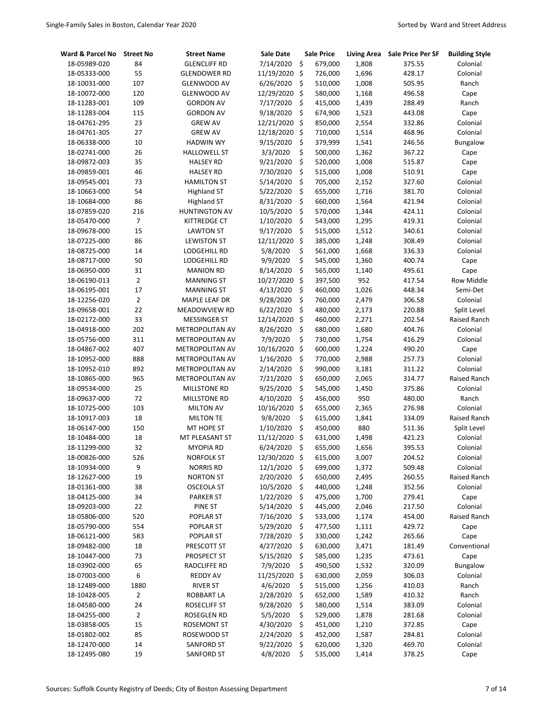| 7/14/2020<br>\$<br>679,000<br>18-05989-020<br>84<br><b>GLENCLIFF RD</b><br>1,808<br>375.55<br>55<br>\$<br>11/19/2020<br>726,000<br>1,696<br>428.17<br>18-05333-000<br><b>GLENDOWER RD</b><br>\$<br>107<br>6/26/2020<br>510,000<br>1,008<br>18-10031-000<br><b>GLENWOOD AV</b><br>505.95<br>$\zeta$<br>120<br>12/29/2020<br>580,000<br>18-10072-000<br><b>GLENWOOD AV</b><br>1,168<br>496.58<br>109<br>7/17/2020<br>\$<br>1,439<br>288.49<br>18-11283-001<br><b>GORDON AV</b><br>415,000<br>\$<br>115<br>9/18/2020<br>1,523<br>443.08<br>18-11283-004<br><b>GORDON AV</b><br>674,900<br>\$<br>23<br>12/21/2020<br>2,554<br>18-04761-295<br><b>GREW AV</b><br>850,000<br>332.86<br>27<br>12/18/2020<br>\$<br>710,000<br>1,514<br>468.96<br>18-04761-305<br><b>GREW AV</b><br>\$<br>10<br>9/15/2020<br>379,999<br>1,541<br>18-06338-000<br><b>HADWIN WY</b><br>246.56<br>\$<br>26<br>3/3/2020<br>18-02741-000<br><b>HALLOWELL ST</b><br>500,000<br>1,362<br>367.22<br>35<br>\$<br>9/21/2020<br>520,000<br>1,008<br>515.87<br>18-09872-003<br><b>HALSEY RD</b><br>\$<br>46<br>7/30/2020<br>515,000<br>18-09859-001<br><b>HALSEY RD</b><br>1,008<br>510.91<br>\$<br>73<br>5/14/2020<br>705,000<br>18-09545-001<br><b>HAMILTON ST</b><br>2,152<br>327.60<br>\$<br>54<br>1,716<br>18-10663-000<br><b>Highland ST</b><br>5/22/2020<br>655,000<br>381.70<br>\$<br>86<br>8/31/2020<br>660,000<br>1,564<br>421.94<br>18-10684-000<br><b>Highland ST</b><br>\$<br>216<br><b>HUNTINGTON AV</b><br>10/5/2020<br>570,000<br>1,344<br>424.11<br>18-07859-020<br>$\overline{7}$<br>\$<br>1/10/2020<br>1,295<br>419.31<br>18-05470-000<br>KITTREDGE CT<br>543,000<br>\$<br>15<br>18-09678-000<br><b>LAWTON ST</b><br>9/17/2020<br>515,000<br>1,512<br>340.61<br>86<br>\$<br>18-07225-000<br><b>LEWISTON ST</b><br>12/11/2020<br>385,000<br>1,248<br>308.49<br>14<br>\$<br>5/8/2020<br>561,000<br>1,668<br>18-08725-000<br><b>LODGEHILL RD</b><br>336.33<br>50<br>\$<br>18-08717-000<br>LODGEHILL RD<br>9/9/2020<br>545,000<br>1,360<br>400.74<br>\$<br>31<br>18-06950-000<br><b>MANION RD</b><br>8/14/2020<br>565,000<br>1,140<br>495.61 | Colonial<br>Colonial<br>Ranch<br>Cape<br>Ranch<br>Cape<br>Colonial<br>Colonial<br>Bungalow<br>Cape<br>Cape<br>Cape<br>Colonial<br>Colonial<br>Colonial<br>Colonial<br>Colonial<br>Colonial<br>Colonial<br>Colonial<br>Cape<br>Cape |
|------------------------------------------------------------------------------------------------------------------------------------------------------------------------------------------------------------------------------------------------------------------------------------------------------------------------------------------------------------------------------------------------------------------------------------------------------------------------------------------------------------------------------------------------------------------------------------------------------------------------------------------------------------------------------------------------------------------------------------------------------------------------------------------------------------------------------------------------------------------------------------------------------------------------------------------------------------------------------------------------------------------------------------------------------------------------------------------------------------------------------------------------------------------------------------------------------------------------------------------------------------------------------------------------------------------------------------------------------------------------------------------------------------------------------------------------------------------------------------------------------------------------------------------------------------------------------------------------------------------------------------------------------------------------------------------------------------------------------------------------------------------------------------------------------------------------------------------------------------------------------------------------------------------------------------------------------------------------------------------------------------------------------------------------------------------------------------------------------------------------|------------------------------------------------------------------------------------------------------------------------------------------------------------------------------------------------------------------------------------|
|                                                                                                                                                                                                                                                                                                                                                                                                                                                                                                                                                                                                                                                                                                                                                                                                                                                                                                                                                                                                                                                                                                                                                                                                                                                                                                                                                                                                                                                                                                                                                                                                                                                                                                                                                                                                                                                                                                                                                                                                                                                                                                                        |                                                                                                                                                                                                                                    |
|                                                                                                                                                                                                                                                                                                                                                                                                                                                                                                                                                                                                                                                                                                                                                                                                                                                                                                                                                                                                                                                                                                                                                                                                                                                                                                                                                                                                                                                                                                                                                                                                                                                                                                                                                                                                                                                                                                                                                                                                                                                                                                                        |                                                                                                                                                                                                                                    |
|                                                                                                                                                                                                                                                                                                                                                                                                                                                                                                                                                                                                                                                                                                                                                                                                                                                                                                                                                                                                                                                                                                                                                                                                                                                                                                                                                                                                                                                                                                                                                                                                                                                                                                                                                                                                                                                                                                                                                                                                                                                                                                                        |                                                                                                                                                                                                                                    |
|                                                                                                                                                                                                                                                                                                                                                                                                                                                                                                                                                                                                                                                                                                                                                                                                                                                                                                                                                                                                                                                                                                                                                                                                                                                                                                                                                                                                                                                                                                                                                                                                                                                                                                                                                                                                                                                                                                                                                                                                                                                                                                                        |                                                                                                                                                                                                                                    |
|                                                                                                                                                                                                                                                                                                                                                                                                                                                                                                                                                                                                                                                                                                                                                                                                                                                                                                                                                                                                                                                                                                                                                                                                                                                                                                                                                                                                                                                                                                                                                                                                                                                                                                                                                                                                                                                                                                                                                                                                                                                                                                                        |                                                                                                                                                                                                                                    |
|                                                                                                                                                                                                                                                                                                                                                                                                                                                                                                                                                                                                                                                                                                                                                                                                                                                                                                                                                                                                                                                                                                                                                                                                                                                                                                                                                                                                                                                                                                                                                                                                                                                                                                                                                                                                                                                                                                                                                                                                                                                                                                                        |                                                                                                                                                                                                                                    |
|                                                                                                                                                                                                                                                                                                                                                                                                                                                                                                                                                                                                                                                                                                                                                                                                                                                                                                                                                                                                                                                                                                                                                                                                                                                                                                                                                                                                                                                                                                                                                                                                                                                                                                                                                                                                                                                                                                                                                                                                                                                                                                                        |                                                                                                                                                                                                                                    |
|                                                                                                                                                                                                                                                                                                                                                                                                                                                                                                                                                                                                                                                                                                                                                                                                                                                                                                                                                                                                                                                                                                                                                                                                                                                                                                                                                                                                                                                                                                                                                                                                                                                                                                                                                                                                                                                                                                                                                                                                                                                                                                                        |                                                                                                                                                                                                                                    |
|                                                                                                                                                                                                                                                                                                                                                                                                                                                                                                                                                                                                                                                                                                                                                                                                                                                                                                                                                                                                                                                                                                                                                                                                                                                                                                                                                                                                                                                                                                                                                                                                                                                                                                                                                                                                                                                                                                                                                                                                                                                                                                                        |                                                                                                                                                                                                                                    |
|                                                                                                                                                                                                                                                                                                                                                                                                                                                                                                                                                                                                                                                                                                                                                                                                                                                                                                                                                                                                                                                                                                                                                                                                                                                                                                                                                                                                                                                                                                                                                                                                                                                                                                                                                                                                                                                                                                                                                                                                                                                                                                                        |                                                                                                                                                                                                                                    |
|                                                                                                                                                                                                                                                                                                                                                                                                                                                                                                                                                                                                                                                                                                                                                                                                                                                                                                                                                                                                                                                                                                                                                                                                                                                                                                                                                                                                                                                                                                                                                                                                                                                                                                                                                                                                                                                                                                                                                                                                                                                                                                                        |                                                                                                                                                                                                                                    |
|                                                                                                                                                                                                                                                                                                                                                                                                                                                                                                                                                                                                                                                                                                                                                                                                                                                                                                                                                                                                                                                                                                                                                                                                                                                                                                                                                                                                                                                                                                                                                                                                                                                                                                                                                                                                                                                                                                                                                                                                                                                                                                                        |                                                                                                                                                                                                                                    |
|                                                                                                                                                                                                                                                                                                                                                                                                                                                                                                                                                                                                                                                                                                                                                                                                                                                                                                                                                                                                                                                                                                                                                                                                                                                                                                                                                                                                                                                                                                                                                                                                                                                                                                                                                                                                                                                                                                                                                                                                                                                                                                                        |                                                                                                                                                                                                                                    |
|                                                                                                                                                                                                                                                                                                                                                                                                                                                                                                                                                                                                                                                                                                                                                                                                                                                                                                                                                                                                                                                                                                                                                                                                                                                                                                                                                                                                                                                                                                                                                                                                                                                                                                                                                                                                                                                                                                                                                                                                                                                                                                                        |                                                                                                                                                                                                                                    |
|                                                                                                                                                                                                                                                                                                                                                                                                                                                                                                                                                                                                                                                                                                                                                                                                                                                                                                                                                                                                                                                                                                                                                                                                                                                                                                                                                                                                                                                                                                                                                                                                                                                                                                                                                                                                                                                                                                                                                                                                                                                                                                                        |                                                                                                                                                                                                                                    |
|                                                                                                                                                                                                                                                                                                                                                                                                                                                                                                                                                                                                                                                                                                                                                                                                                                                                                                                                                                                                                                                                                                                                                                                                                                                                                                                                                                                                                                                                                                                                                                                                                                                                                                                                                                                                                                                                                                                                                                                                                                                                                                                        |                                                                                                                                                                                                                                    |
|                                                                                                                                                                                                                                                                                                                                                                                                                                                                                                                                                                                                                                                                                                                                                                                                                                                                                                                                                                                                                                                                                                                                                                                                                                                                                                                                                                                                                                                                                                                                                                                                                                                                                                                                                                                                                                                                                                                                                                                                                                                                                                                        |                                                                                                                                                                                                                                    |
|                                                                                                                                                                                                                                                                                                                                                                                                                                                                                                                                                                                                                                                                                                                                                                                                                                                                                                                                                                                                                                                                                                                                                                                                                                                                                                                                                                                                                                                                                                                                                                                                                                                                                                                                                                                                                                                                                                                                                                                                                                                                                                                        |                                                                                                                                                                                                                                    |
|                                                                                                                                                                                                                                                                                                                                                                                                                                                                                                                                                                                                                                                                                                                                                                                                                                                                                                                                                                                                                                                                                                                                                                                                                                                                                                                                                                                                                                                                                                                                                                                                                                                                                                                                                                                                                                                                                                                                                                                                                                                                                                                        |                                                                                                                                                                                                                                    |
|                                                                                                                                                                                                                                                                                                                                                                                                                                                                                                                                                                                                                                                                                                                                                                                                                                                                                                                                                                                                                                                                                                                                                                                                                                                                                                                                                                                                                                                                                                                                                                                                                                                                                                                                                                                                                                                                                                                                                                                                                                                                                                                        |                                                                                                                                                                                                                                    |
|                                                                                                                                                                                                                                                                                                                                                                                                                                                                                                                                                                                                                                                                                                                                                                                                                                                                                                                                                                                                                                                                                                                                                                                                                                                                                                                                                                                                                                                                                                                                                                                                                                                                                                                                                                                                                                                                                                                                                                                                                                                                                                                        |                                                                                                                                                                                                                                    |
|                                                                                                                                                                                                                                                                                                                                                                                                                                                                                                                                                                                                                                                                                                                                                                                                                                                                                                                                                                                                                                                                                                                                                                                                                                                                                                                                                                                                                                                                                                                                                                                                                                                                                                                                                                                                                                                                                                                                                                                                                                                                                                                        |                                                                                                                                                                                                                                    |
| \$<br>$\overline{2}$<br>10/27/2020<br>397,500<br>952<br>18-06190-013<br><b>MANNING ST</b><br>417.54                                                                                                                                                                                                                                                                                                                                                                                                                                                                                                                                                                                                                                                                                                                                                                                                                                                                                                                                                                                                                                                                                                                                                                                                                                                                                                                                                                                                                                                                                                                                                                                                                                                                                                                                                                                                                                                                                                                                                                                                                    | <b>Row Middle</b>                                                                                                                                                                                                                  |
| 17<br>\$<br>4/13/2020<br>460,000<br>1,026<br>18-06195-001<br><b>MANNING ST</b><br>448.34                                                                                                                                                                                                                                                                                                                                                                                                                                                                                                                                                                                                                                                                                                                                                                                                                                                                                                                                                                                                                                                                                                                                                                                                                                                                                                                                                                                                                                                                                                                                                                                                                                                                                                                                                                                                                                                                                                                                                                                                                               | Semi-Det                                                                                                                                                                                                                           |
| $\overline{2}$<br>\$<br>9/28/2020<br>760,000<br>2,479<br>18-12256-020<br>MAPLE LEAF DR<br>306.58                                                                                                                                                                                                                                                                                                                                                                                                                                                                                                                                                                                                                                                                                                                                                                                                                                                                                                                                                                                                                                                                                                                                                                                                                                                                                                                                                                                                                                                                                                                                                                                                                                                                                                                                                                                                                                                                                                                                                                                                                       | Colonial                                                                                                                                                                                                                           |
| \$<br>22<br>6/22/2020<br>480,000<br>2,173<br>18-09658-001<br>MEADOWVIEW RD<br>220.88                                                                                                                                                                                                                                                                                                                                                                                                                                                                                                                                                                                                                                                                                                                                                                                                                                                                                                                                                                                                                                                                                                                                                                                                                                                                                                                                                                                                                                                                                                                                                                                                                                                                                                                                                                                                                                                                                                                                                                                                                                   | Split Level                                                                                                                                                                                                                        |
| 33<br>\$<br>12/14/2020<br>460,000<br>2,271<br>18-02172-000<br><b>MESSINGER ST</b><br>202.54                                                                                                                                                                                                                                                                                                                                                                                                                                                                                                                                                                                                                                                                                                                                                                                                                                                                                                                                                                                                                                                                                                                                                                                                                                                                                                                                                                                                                                                                                                                                                                                                                                                                                                                                                                                                                                                                                                                                                                                                                            | Raised Ranch                                                                                                                                                                                                                       |
| \$<br>202<br>8/26/2020<br>1,680<br>404.76<br>18-04918-000<br>METROPOLITAN AV<br>680,000                                                                                                                                                                                                                                                                                                                                                                                                                                                                                                                                                                                                                                                                                                                                                                                                                                                                                                                                                                                                                                                                                                                                                                                                                                                                                                                                                                                                                                                                                                                                                                                                                                                                                                                                                                                                                                                                                                                                                                                                                                | Colonial                                                                                                                                                                                                                           |
| \$<br>311<br>7/9/2020<br>18-05756-000<br>METROPOLITAN AV<br>730,000<br>1,754<br>416.29                                                                                                                                                                                                                                                                                                                                                                                                                                                                                                                                                                                                                                                                                                                                                                                                                                                                                                                                                                                                                                                                                                                                                                                                                                                                                                                                                                                                                                                                                                                                                                                                                                                                                                                                                                                                                                                                                                                                                                                                                                 | Colonial                                                                                                                                                                                                                           |
| \$<br>407<br>600,000<br>18-04867-002<br>METROPOLITAN AV<br>10/16/2020<br>1,224<br>490.20                                                                                                                                                                                                                                                                                                                                                                                                                                                                                                                                                                                                                                                                                                                                                                                                                                                                                                                                                                                                                                                                                                                                                                                                                                                                                                                                                                                                                                                                                                                                                                                                                                                                                                                                                                                                                                                                                                                                                                                                                               | Cape                                                                                                                                                                                                                               |
| \$<br>888<br>18-10952-000<br>METROPOLITAN AV<br>1/16/2020<br>770,000<br>2,988<br>257.73                                                                                                                                                                                                                                                                                                                                                                                                                                                                                                                                                                                                                                                                                                                                                                                                                                                                                                                                                                                                                                                                                                                                                                                                                                                                                                                                                                                                                                                                                                                                                                                                                                                                                                                                                                                                                                                                                                                                                                                                                                | Colonial                                                                                                                                                                                                                           |
| \$<br>892<br>18-10952-010<br>METROPOLITAN AV<br>2/14/2020<br>990,000<br>3,181<br>311.22                                                                                                                                                                                                                                                                                                                                                                                                                                                                                                                                                                                                                                                                                                                                                                                                                                                                                                                                                                                                                                                                                                                                                                                                                                                                                                                                                                                                                                                                                                                                                                                                                                                                                                                                                                                                                                                                                                                                                                                                                                | Colonial                                                                                                                                                                                                                           |
| \$<br>965<br>7/21/2020<br>650,000<br>2,065<br>314.77<br>18-10865-000<br>METROPOLITAN AV                                                                                                                                                                                                                                                                                                                                                                                                                                                                                                                                                                                                                                                                                                                                                                                                                                                                                                                                                                                                                                                                                                                                                                                                                                                                                                                                                                                                                                                                                                                                                                                                                                                                                                                                                                                                                                                                                                                                                                                                                                | Raised Ranch                                                                                                                                                                                                                       |
| \$<br>25<br>9/25/2020<br>545,000<br>375.86<br>18-09534-000<br>MILLSTONE RD<br>1,450                                                                                                                                                                                                                                                                                                                                                                                                                                                                                                                                                                                                                                                                                                                                                                                                                                                                                                                                                                                                                                                                                                                                                                                                                                                                                                                                                                                                                                                                                                                                                                                                                                                                                                                                                                                                                                                                                                                                                                                                                                    | Colonial                                                                                                                                                                                                                           |
| \$<br>72<br>4/10/2020<br>950<br>18-09637-000<br><b>MILLSTONE RD</b><br>456,000<br>480.00                                                                                                                                                                                                                                                                                                                                                                                                                                                                                                                                                                                                                                                                                                                                                                                                                                                                                                                                                                                                                                                                                                                                                                                                                                                                                                                                                                                                                                                                                                                                                                                                                                                                                                                                                                                                                                                                                                                                                                                                                               | Ranch                                                                                                                                                                                                                              |
| \$<br>103<br>10/16/2020<br>18-10725-000<br><b>MILTON AV</b><br>655,000<br>2,365<br>276.98                                                                                                                                                                                                                                                                                                                                                                                                                                                                                                                                                                                                                                                                                                                                                                                                                                                                                                                                                                                                                                                                                                                                                                                                                                                                                                                                                                                                                                                                                                                                                                                                                                                                                                                                                                                                                                                                                                                                                                                                                              | Colonial                                                                                                                                                                                                                           |
| \$<br>18<br>9/8/2020<br>18-10917-003<br><b>MILTON TE</b><br>615,000<br>1,841<br>334.09                                                                                                                                                                                                                                                                                                                                                                                                                                                                                                                                                                                                                                                                                                                                                                                                                                                                                                                                                                                                                                                                                                                                                                                                                                                                                                                                                                                                                                                                                                                                                                                                                                                                                                                                                                                                                                                                                                                                                                                                                                 | Raised Ranch                                                                                                                                                                                                                       |
| \$<br>150<br>1/10/2020<br>880<br>18-06147-000<br>MT HOPE ST<br>450,000<br>511.36                                                                                                                                                                                                                                                                                                                                                                                                                                                                                                                                                                                                                                                                                                                                                                                                                                                                                                                                                                                                                                                                                                                                                                                                                                                                                                                                                                                                                                                                                                                                                                                                                                                                                                                                                                                                                                                                                                                                                                                                                                       | Split Level                                                                                                                                                                                                                        |
| 18<br>11/12/2020<br>\$<br>421.23<br>18-10484-000<br>MT PLEASANT ST<br>631,000<br>1,498                                                                                                                                                                                                                                                                                                                                                                                                                                                                                                                                                                                                                                                                                                                                                                                                                                                                                                                                                                                                                                                                                                                                                                                                                                                                                                                                                                                                                                                                                                                                                                                                                                                                                                                                                                                                                                                                                                                                                                                                                                 | Colonial                                                                                                                                                                                                                           |
| Ś<br>32<br>18-11299-000<br><b>MYOPIA RD</b><br>6/24/2020<br>655,000<br>395.53<br>1,656                                                                                                                                                                                                                                                                                                                                                                                                                                                                                                                                                                                                                                                                                                                                                                                                                                                                                                                                                                                                                                                                                                                                                                                                                                                                                                                                                                                                                                                                                                                                                                                                                                                                                                                                                                                                                                                                                                                                                                                                                                 | Colonial                                                                                                                                                                                                                           |
| 526<br>12/30/2020<br>\$<br>615,000<br>204.52<br>18-00826-000<br><b>NORFOLK ST</b><br>3,007                                                                                                                                                                                                                                                                                                                                                                                                                                                                                                                                                                                                                                                                                                                                                                                                                                                                                                                                                                                                                                                                                                                                                                                                                                                                                                                                                                                                                                                                                                                                                                                                                                                                                                                                                                                                                                                                                                                                                                                                                             | Colonial                                                                                                                                                                                                                           |
| 9<br>12/1/2020<br>\$<br>699,000<br>1,372<br>509.48<br>18-10934-000<br><b>NORRIS RD</b>                                                                                                                                                                                                                                                                                                                                                                                                                                                                                                                                                                                                                                                                                                                                                                                                                                                                                                                                                                                                                                                                                                                                                                                                                                                                                                                                                                                                                                                                                                                                                                                                                                                                                                                                                                                                                                                                                                                                                                                                                                 | Colonial                                                                                                                                                                                                                           |
| \$<br>19<br>2/20/2020<br>650,000<br>18-12627-000<br><b>NORTON ST</b><br>2,495<br>260.55                                                                                                                                                                                                                                                                                                                                                                                                                                                                                                                                                                                                                                                                                                                                                                                                                                                                                                                                                                                                                                                                                                                                                                                                                                                                                                                                                                                                                                                                                                                                                                                                                                                                                                                                                                                                                                                                                                                                                                                                                                | Raised Ranch                                                                                                                                                                                                                       |
| 38<br>10/5/2020<br>\$<br>440,000<br>18-01361-000<br><b>OSCEOLA ST</b><br>1,248<br>352.56                                                                                                                                                                                                                                                                                                                                                                                                                                                                                                                                                                                                                                                                                                                                                                                                                                                                                                                                                                                                                                                                                                                                                                                                                                                                                                                                                                                                                                                                                                                                                                                                                                                                                                                                                                                                                                                                                                                                                                                                                               | Colonial                                                                                                                                                                                                                           |
| 34<br>1/22/2020<br>\$<br>475,000<br>1,700<br>279.41<br>18-04125-000<br><b>PARKER ST</b>                                                                                                                                                                                                                                                                                                                                                                                                                                                                                                                                                                                                                                                                                                                                                                                                                                                                                                                                                                                                                                                                                                                                                                                                                                                                                                                                                                                                                                                                                                                                                                                                                                                                                                                                                                                                                                                                                                                                                                                                                                | Cape                                                                                                                                                                                                                               |
| 22<br>5/14/2020<br>\$<br>18-09203-000<br>PINE ST<br>445,000<br>2,046<br>217.50                                                                                                                                                                                                                                                                                                                                                                                                                                                                                                                                                                                                                                                                                                                                                                                                                                                                                                                                                                                                                                                                                                                                                                                                                                                                                                                                                                                                                                                                                                                                                                                                                                                                                                                                                                                                                                                                                                                                                                                                                                         | Colonial                                                                                                                                                                                                                           |
| 520<br>\$<br>1,174<br>18-05806-000<br>POPLAR ST<br>7/16/2020<br>533,000<br>454.00                                                                                                                                                                                                                                                                                                                                                                                                                                                                                                                                                                                                                                                                                                                                                                                                                                                                                                                                                                                                                                                                                                                                                                                                                                                                                                                                                                                                                                                                                                                                                                                                                                                                                                                                                                                                                                                                                                                                                                                                                                      | Raised Ranch                                                                                                                                                                                                                       |
| \$<br>18-05790-000<br>554<br>POPLAR ST<br>5/29/2020<br>477,500<br>1,111<br>429.72                                                                                                                                                                                                                                                                                                                                                                                                                                                                                                                                                                                                                                                                                                                                                                                                                                                                                                                                                                                                                                                                                                                                                                                                                                                                                                                                                                                                                                                                                                                                                                                                                                                                                                                                                                                                                                                                                                                                                                                                                                      | Cape                                                                                                                                                                                                                               |
| 583<br>\$<br>18-06121-000<br>POPLAR ST<br>7/28/2020<br>330,000<br>1,242<br>265.66                                                                                                                                                                                                                                                                                                                                                                                                                                                                                                                                                                                                                                                                                                                                                                                                                                                                                                                                                                                                                                                                                                                                                                                                                                                                                                                                                                                                                                                                                                                                                                                                                                                                                                                                                                                                                                                                                                                                                                                                                                      | Cape                                                                                                                                                                                                                               |
| 18<br>4/27/2020<br>\$<br>630,000<br>3,471<br>18-09482-000<br>PRESCOTT ST<br>181.49                                                                                                                                                                                                                                                                                                                                                                                                                                                                                                                                                                                                                                                                                                                                                                                                                                                                                                                                                                                                                                                                                                                                                                                                                                                                                                                                                                                                                                                                                                                                                                                                                                                                                                                                                                                                                                                                                                                                                                                                                                     | Conventional                                                                                                                                                                                                                       |
| 73<br>5/15/2020<br>\$<br>585,000<br>18-10447-000<br>PROSPECT ST<br>1,235<br>473.61                                                                                                                                                                                                                                                                                                                                                                                                                                                                                                                                                                                                                                                                                                                                                                                                                                                                                                                                                                                                                                                                                                                                                                                                                                                                                                                                                                                                                                                                                                                                                                                                                                                                                                                                                                                                                                                                                                                                                                                                                                     | Cape                                                                                                                                                                                                                               |
| 65<br>7/9/2020<br>\$<br>490,500<br>18-03902-000<br>RADCLIFFE RD<br>1,532<br>320.09                                                                                                                                                                                                                                                                                                                                                                                                                                                                                                                                                                                                                                                                                                                                                                                                                                                                                                                                                                                                                                                                                                                                                                                                                                                                                                                                                                                                                                                                                                                                                                                                                                                                                                                                                                                                                                                                                                                                                                                                                                     | Bungalow                                                                                                                                                                                                                           |
| 6<br>11/25/2020<br>\$<br>18-07003-000<br><b>REDDY AV</b><br>630,000<br>2,059<br>306.03                                                                                                                                                                                                                                                                                                                                                                                                                                                                                                                                                                                                                                                                                                                                                                                                                                                                                                                                                                                                                                                                                                                                                                                                                                                                                                                                                                                                                                                                                                                                                                                                                                                                                                                                                                                                                                                                                                                                                                                                                                 | Colonial                                                                                                                                                                                                                           |
| \$<br>4/6/2020<br>515,000<br>18-12489-000<br>1880<br><b>RIVER ST</b><br>1,256<br>410.03                                                                                                                                                                                                                                                                                                                                                                                                                                                                                                                                                                                                                                                                                                                                                                                                                                                                                                                                                                                                                                                                                                                                                                                                                                                                                                                                                                                                                                                                                                                                                                                                                                                                                                                                                                                                                                                                                                                                                                                                                                | Ranch                                                                                                                                                                                                                              |
| $\overline{2}$<br>2/28/2020<br>\$<br>652,000<br>18-10428-005<br><b>ROBBART LA</b><br>1,589<br>410.32                                                                                                                                                                                                                                                                                                                                                                                                                                                                                                                                                                                                                                                                                                                                                                                                                                                                                                                                                                                                                                                                                                                                                                                                                                                                                                                                                                                                                                                                                                                                                                                                                                                                                                                                                                                                                                                                                                                                                                                                                   | Ranch                                                                                                                                                                                                                              |
| 24<br>9/28/2020<br>\$<br>18-04580-000<br><b>ROSECLIFF ST</b><br>580,000<br>1,514<br>383.09                                                                                                                                                                                                                                                                                                                                                                                                                                                                                                                                                                                                                                                                                                                                                                                                                                                                                                                                                                                                                                                                                                                                                                                                                                                                                                                                                                                                                                                                                                                                                                                                                                                                                                                                                                                                                                                                                                                                                                                                                             | Colonial                                                                                                                                                                                                                           |
| $\overline{2}$<br>\$<br>18-04255-000<br>ROSEGLEN RD<br>5/5/2020<br>529,000<br>1,878<br>281.68                                                                                                                                                                                                                                                                                                                                                                                                                                                                                                                                                                                                                                                                                                                                                                                                                                                                                                                                                                                                                                                                                                                                                                                                                                                                                                                                                                                                                                                                                                                                                                                                                                                                                                                                                                                                                                                                                                                                                                                                                          | Colonial                                                                                                                                                                                                                           |
| 15<br>4/30/2020<br>\$<br>18-03858-005<br><b>ROSEMONT ST</b><br>451,000<br>1,210<br>372.85                                                                                                                                                                                                                                                                                                                                                                                                                                                                                                                                                                                                                                                                                                                                                                                                                                                                                                                                                                                                                                                                                                                                                                                                                                                                                                                                                                                                                                                                                                                                                                                                                                                                                                                                                                                                                                                                                                                                                                                                                              | Cape                                                                                                                                                                                                                               |
| \$<br>85<br>1,587<br>18-01802-002<br>ROSEWOOD ST<br>2/24/2020<br>452,000<br>284.81                                                                                                                                                                                                                                                                                                                                                                                                                                                                                                                                                                                                                                                                                                                                                                                                                                                                                                                                                                                                                                                                                                                                                                                                                                                                                                                                                                                                                                                                                                                                                                                                                                                                                                                                                                                                                                                                                                                                                                                                                                     | Colonial                                                                                                                                                                                                                           |
| \$<br>18-12470-000<br>14<br>9/22/2020<br>620,000<br>1,320<br>469.70<br>SANFORD ST                                                                                                                                                                                                                                                                                                                                                                                                                                                                                                                                                                                                                                                                                                                                                                                                                                                                                                                                                                                                                                                                                                                                                                                                                                                                                                                                                                                                                                                                                                                                                                                                                                                                                                                                                                                                                                                                                                                                                                                                                                      | Colonial                                                                                                                                                                                                                           |
| 19<br>\$<br>535,000<br>18-12495-080<br><b>SANFORD ST</b><br>4/8/2020<br>1,414<br>378.25                                                                                                                                                                                                                                                                                                                                                                                                                                                                                                                                                                                                                                                                                                                                                                                                                                                                                                                                                                                                                                                                                                                                                                                                                                                                                                                                                                                                                                                                                                                                                                                                                                                                                                                                                                                                                                                                                                                                                                                                                                |                                                                                                                                                                                                                                    |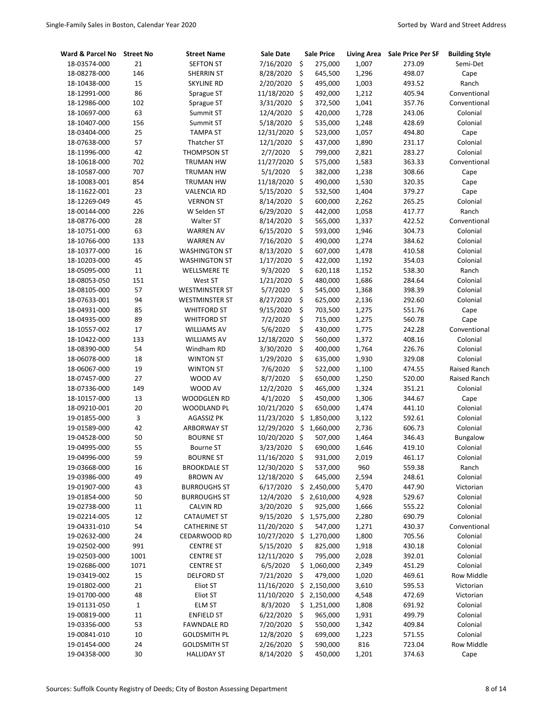| Ward & Parcel No             | <b>Street No</b> | <b>Street Name</b>                        | Sale Date               |                    | <b>Sale Price</b>    | <b>Living Area</b> | <b>Sale Price Per SF</b> | <b>Building Style</b>    |
|------------------------------|------------------|-------------------------------------------|-------------------------|--------------------|----------------------|--------------------|--------------------------|--------------------------|
| 18-03574-000                 | 21               | <b>SEFTON ST</b>                          | 7/16/2020               | \$                 | 275,000              | 1,007              | 273.09                   | Semi-Det                 |
| 18-08278-000                 | 146              | SHERRIN ST                                | 8/28/2020               | \$                 | 645,500              | 1,296              | 498.07                   | Cape                     |
| 18-10438-000                 | 15               | <b>SKYLINE RD</b>                         | 2/20/2020               | \$                 | 495,000              | 1,003              | 493.52                   | Ranch                    |
| 18-12991-000                 | 86               | Sprague ST                                | 11/18/2020              | \$                 | 492,000              | 1,212              | 405.94                   | Conventional             |
| 18-12986-000                 | 102              | Sprague ST                                | 3/31/2020               | \$                 | 372,500              | 1,041              | 357.76                   | Conventional             |
| 18-10697-000                 | 63               | Summit ST                                 | 12/4/2020               | \$                 | 420,000              | 1,728              | 243.06                   | Colonial                 |
| 18-10407-000                 | 156              | Summit ST                                 | 5/18/2020               | \$                 | 535,000              | 1,248              | 428.69                   | Colonial                 |
| 18-03404-000                 | 25               | <b>TAMPA ST</b>                           | 12/31/2020              | \$                 | 523,000              | 1,057              | 494.80                   | Cape                     |
| 18-07638-000                 | 57               | <b>Thatcher ST</b>                        | 12/1/2020               | \$                 | 437,000              | 1,890              | 231.17                   | Colonial                 |
| 18-11996-000                 | 42               | THOMPSON ST                               | 2/7/2020                | \$                 | 799,000              | 2,821              | 283.27                   | Colonial                 |
| 18-10618-000                 | 702              | <b>TRUMAN HW</b>                          | 11/27/2020              | \$                 | 575,000              | 1,583              | 363.33                   | Conventional             |
| 18-10587-000                 | 707              | <b>TRUMAN HW</b>                          | 5/1/2020                | \$                 | 382,000              | 1,238              | 308.66                   | Cape                     |
| 18-10083-001                 | 854              | TRUMAN HW                                 | 11/18/2020              | \$                 | 490,000              | 1,530              | 320.35                   | Cape                     |
| 18-11622-001                 | 23               | <b>VALENCIA RD</b>                        | 5/15/2020               | \$                 | 532,500              | 1,404              | 379.27                   | Cape                     |
| 18-12269-049                 | 45               | <b>VERNON ST</b>                          | 8/14/2020               | \$                 | 600,000              | 2,262              | 265.25                   | Colonial                 |
| 18-00144-000                 | 226              | W Selden ST                               | 6/29/2020               | \$                 | 442,000              | 1,058              | 417.77                   | Ranch                    |
| 18-08776-000                 | 28               | Walter ST                                 | 8/14/2020               | \$                 | 565,000              | 1,337              | 422.52                   | Conventional             |
| 18-10751-000                 | 63               | <b>WARREN AV</b>                          | 6/15/2020               | \$                 | 593,000              | 1,946              | 304.73                   | Colonial                 |
| 18-10766-000                 | 133              | <b>WARREN AV</b>                          | 7/16/2020               | \$                 | 490,000              | 1,274              | 384.62                   | Colonial                 |
| 18-10377-000                 | 16               | <b>WASHINGTON ST</b>                      | 8/13/2020               | \$                 | 607,000              | 1,478              | 410.58                   | Colonial                 |
| 18-10203-000                 | 45               | <b>WASHINGTON ST</b>                      | 1/17/2020               | \$                 | 422,000              | 1,192              | 354.03                   | Colonial                 |
| 18-05095-000                 | 11               | <b>WELLSMERE TE</b>                       | 9/3/2020                | \$                 | 620,118              | 1,152              | 538.30                   | Ranch                    |
| 18-08053-050                 | 151              | West ST                                   | 1/21/2020               | \$                 | 480,000              | 1,686              | 284.64                   | Colonial                 |
| 18-08105-000                 | 57               | <b>WESTMINSTER ST</b>                     | 5/7/2020                | \$                 | 545,000              | 1,368              | 398.39                   | Colonial                 |
| 18-07633-001                 | 94               | <b>WESTMINSTER ST</b>                     | 8/27/2020               | \$                 | 625,000              | 2,136              | 292.60                   | Colonial                 |
| 18-04931-000                 | 85               | <b>WHITFORD ST</b>                        | 9/15/2020               | \$                 | 703,500              | 1,275              | 551.76                   | Cape                     |
| 18-04935-000                 | 89               | <b>WHITFORD ST</b>                        | 7/2/2020                | \$                 | 715,000              | 1,275              | 560.78                   | Cape                     |
| 18-10557-002                 | 17               | <b>WILLIAMS AV</b>                        | 5/6/2020                | \$                 | 430,000              | 1,775              | 242.28                   | Conventional             |
| 18-10422-000                 | 133              | <b>WILLIAMS AV</b>                        | 12/18/2020              | \$                 | 560,000              | 1,372              | 408.16                   | Colonial                 |
| 18-08390-000                 | 54               | Windham RD                                | 3/30/2020               | \$                 | 400,000              | 1,764              | 226.76                   | Colonial                 |
| 18-06078-000                 | 18               | <b>WINTON ST</b>                          | 1/29/2020               | \$                 | 635,000              | 1,930              | 329.08                   | Colonial                 |
| 18-06067-000                 | 19               | <b>WINTON ST</b>                          | 7/6/2020                | \$                 | 522,000              | 1,100              | 474.55                   | Raised Ranch             |
| 18-07457-000                 | 27               | WOOD AV                                   | 8/7/2020                | \$                 | 650,000              | 1,250              | 520.00                   | Raised Ranch             |
| 18-07336-000                 | 149              | WOOD AV                                   | 12/2/2020               | \$                 | 465,000              | 1,324              | 351.21                   | Colonial                 |
| 18-10157-000                 | 13               | <b>WOODGLEN RD</b>                        | 4/1/2020                | \$                 | 450,000              | 1,306              | 344.67                   | Cape                     |
| 18-09210-001                 | 20               | WOODLAND PL                               | 10/21/2020              | \$                 | 650,000              | 1,474              | 441.10                   | Colonial                 |
| 19-01855-000                 | $\mathsf 3$      | <b>AGASSIZ PK</b>                         | 11/23/2020              | \$                 | 1,850,000            | 3,122              | 592.61                   | Colonial                 |
| 19-01589-000                 | 42               | <b>ARBORWAY ST</b>                        | 12/29/2020              | \$                 | 1,660,000            | 2,736              | 606.73                   | Colonial                 |
| 19-04528-000                 | 50               | <b>BOURNE ST</b>                          | 10/20/2020              | \$                 | 507,000              | 1,464              | 346.43                   | Bungalow                 |
| 19-04995-000                 | 55               | <b>Bourne ST</b>                          | 3/23/2020               | \$                 | 690,000              | 1,646              | 419.10                   | Colonial                 |
| 19-04996-000                 | 59               | <b>BOURNE ST</b>                          | 11/16/2020 \$           |                    | 931,000              | 2,019              | 461.17                   | Colonial                 |
| 19-03668-000                 | 16               | <b>BROOKDALE ST</b>                       | 12/30/2020 \$           |                    | 537,000              | 960                | 559.38                   | Ranch                    |
| 19-03986-000                 | 49               | <b>BROWN AV</b>                           | 12/18/2020              | \$                 | 645,000              | 2,594              | 248.61                   | Colonial                 |
| 19-01907-000                 | 43               | <b>BURROUGHS ST</b>                       | 6/17/2020               | \$                 | 2,450,000            | 5,470              | 447.90                   | Victorian                |
| 19-01854-000                 | 50               | BURROUGHS ST                              | 12/4/2020               | \$                 | 2,610,000            | 4,928              | 529.67                   | Colonial                 |
| 19-02738-000                 | 11<br>12         | <b>CALVIN RD</b>                          | 3/20/2020               | \$<br>\$           | 925,000              | 1,666              | 555.22                   | Colonial                 |
| 19-02214-005<br>19-04331-010 | 54               | <b>CATAUMET ST</b><br><b>CATHERINE ST</b> | 9/15/2020<br>11/20/2020 | \$                 | 1,575,000<br>547,000 | 2,280<br>1,271     | 690.79<br>430.37         | Colonial<br>Conventional |
| 19-02632-000                 | 24               | CEDARWOOD RD                              | 10/27/2020              | $\ddot{\varsigma}$ | 1,270,000            | 1,800              | 705.56                   | Colonial                 |
| 19-02502-000                 | 991              | <b>CENTRE ST</b>                          | 5/15/2020               | \$                 | 825,000              | 1,918              | 430.18                   | Colonial                 |
| 19-02503-000                 | 1001             | <b>CENTRE ST</b>                          | 12/11/2020              | \$                 | 795,000              | 2,028              | 392.01                   | Colonial                 |
| 19-02686-000                 | 1071             | <b>CENTRE ST</b>                          | 6/5/2020                | \$                 | 1,060,000            | 2,349              | 451.29                   | Colonial                 |
| 19-03419-002                 | 15               | <b>DELFORD ST</b>                         | 7/21/2020               | \$                 | 479,000              | 1,020              | 469.61                   | Row Middle               |
| 19-01802-000                 | 21               | Eliot ST                                  | 11/16/2020              | \$                 | 2,150,000            | 3,610              | 595.53                   | Victorian                |
| 19-01700-000                 | 48               | Eliot ST                                  | 11/10/2020              | \$                 | 2,150,000            | 4,548              | 472.69                   | Victorian                |
| 19-01131-050                 | $\mathbf 1$      | <b>ELM ST</b>                             | 8/3/2020                | \$                 | 1,251,000            | 1,808              | 691.92                   | Colonial                 |
| 19-00819-000                 | 11               | <b>ENFIELD ST</b>                         | 6/22/2020               | \$                 | 965,000              | 1,931              | 499.79                   | Colonial                 |
| 19-03356-000                 | 53               | <b>FAWNDALE RD</b>                        | 7/20/2020               | \$                 | 550,000              | 1,342              | 409.84                   | Colonial                 |
| 19-00841-010                 | 10               | <b>GOLDSMITH PL</b>                       | 12/8/2020               | \$                 | 699,000              | 1,223              | 571.55                   | Colonial                 |
| 19-01454-000                 | 24               | <b>GOLDSMITH ST</b>                       | 2/26/2020               | \$                 | 590,000              | 816                | 723.04                   | Row Middle               |
| 19-04358-000                 | $30\,$           | <b>HALLIDAY ST</b>                        | 8/14/2020               | \$                 | 450,000              | 1,201              | 374.63                   | Cape                     |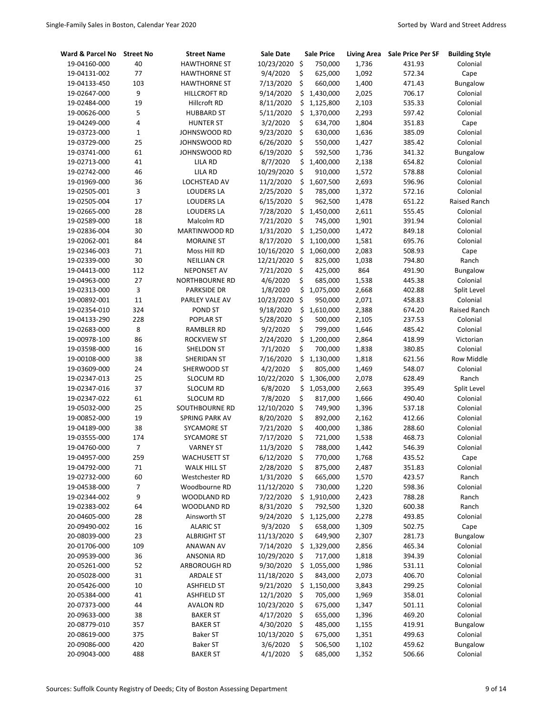| Ward & Parcel No | <b>Street No</b> | <b>Street Name</b>  | Sale Date     | <b>Sale Price</b> | <b>Living Area</b> | <b>Sale Price Per SF</b> | <b>Building Style</b> |
|------------------|------------------|---------------------|---------------|-------------------|--------------------|--------------------------|-----------------------|
| 19-04160-000     | 40               | <b>HAWTHORNE ST</b> | 10/23/2020    | \$<br>750,000     | 1,736              | 431.93                   | Colonial              |
| 19-04131-002     | 77               | <b>HAWTHORNE ST</b> | 9/4/2020      | \$<br>625,000     | 1,092              | 572.34                   | Cape                  |
| 19-04133-450     | 103              | <b>HAWTHORNE ST</b> | 7/13/2020     | \$<br>660,000     | 1,400              | 471.43                   | Bungalow              |
| 19-02647-000     | 9                | HILLCROFT RD        | 9/14/2020     | \$<br>1,430,000   | 2,025              | 706.17                   | Colonial              |
| 19-02484-000     | 19               | Hillcroft RD        | 8/11/2020     | \$<br>1,125,800   | 2,103              | 535.33                   | Colonial              |
| 19-00626-000     | 5                | <b>HUBBARD ST</b>   | 5/11/2020     | \$<br>1,370,000   | 2,293              | 597.42                   | Colonial              |
| 19-04249-000     | 4                | <b>HUNTER ST</b>    | 3/2/2020      | \$<br>634,700     | 1,804              | 351.83                   | Cape                  |
| 19-03723-000     | $\mathbf 1$      | JOHNSWOOD RD        | 9/23/2020     | \$<br>630,000     | 1,636              | 385.09                   | Colonial              |
| 19-03729-000     | 25               | JOHNSWOOD RD        | 6/26/2020     | \$<br>550,000     | 1,427              | 385.42                   | Colonial              |
| 19-03741-000     | 61               | JOHNSWOOD RD        | 6/19/2020     | \$<br>592,500     | 1,736              | 341.32                   | Bungalow              |
| 19-02713-000     | 41               | <b>LILA RD</b>      | 8/7/2020      | \$<br>1,400,000   | 2,138              | 654.82                   | Colonial              |
| 19-02742-000     | 46               | <b>LILA RD</b>      | 10/29/2020    | \$<br>910,000     | 1,572              | 578.88                   | Colonial              |
| 19-01969-000     | 36               | LOCHSTEAD AV        | 11/2/2020     | \$<br>1,607,500   | 2,693              | 596.96                   | Colonial              |
| 19-02505-001     | 3                | <b>LOUDERS LA</b>   | 2/25/2020     | \$<br>785,000     | 1,372              | 572.16                   | Colonial              |
| 19-02505-004     | 17               | <b>LOUDERS LA</b>   | 6/15/2020     | \$<br>962,500     | 1,478              | 651.22                   | Raised Ranch          |
| 19-02665-000     | 28               | <b>LOUDERS LA</b>   | 7/28/2020     | \$<br>1,450,000   | 2,611              | 555.45                   | Colonial              |
| 19-02589-000     | 18               | Malcolm RD          | 7/21/2020     | \$<br>745,000     | 1,901              | 391.94                   | Colonial              |
| 19-02836-004     | 30               | MARTINWOOD RD       | 1/31/2020     | \$<br>1,250,000   | 1,472              | 849.18                   | Colonial              |
| 19-02062-001     | 84               | <b>MORAINE ST</b>   | 8/17/2020     | \$<br>1,100,000   | 1,581              | 695.76                   | Colonial              |
| 19-02346-003     | 71               | Moss Hill RD        | 10/16/2020    | \$<br>1,060,000   | 2,083              | 508.93                   | Cape                  |
| 19-02339-000     | 30               | <b>NEILLIAN CR</b>  | 12/21/2020    | \$<br>825,000     | 1,038              | 794.80                   | Ranch                 |
| 19-04413-000     | 112              | <b>NEPONSET AV</b>  | 7/21/2020     | \$<br>425,000     | 864                | 491.90                   | Bungalow              |
| 19-04963-000     | 27               | NORTHBOURNE RD      | 4/6/2020      | \$<br>685,000     | 1,538              | 445.38                   | Colonial              |
| 19-02313-000     | 3                | <b>PARKSIDE DR</b>  | 1/8/2020      | \$<br>1,075,000   | 2,668              | 402.88                   | Split Level           |
| 19-00892-001     | 11               | PARLEY VALE AV      | 10/23/2020    | \$<br>950,000     | 2,071              | 458.83                   | Colonial              |
| 19-02354-010     | 324              | POND ST             | 9/18/2020     | \$<br>1,610,000   | 2,388              | 674.20                   | Raised Ranch          |
| 19-04133-290     | 228              | <b>POPLAR ST</b>    | 5/28/2020     | \$<br>500,000     | 2,105              | 237.53                   | Colonial              |
| 19-02683-000     | 8                | RAMBLER RD          | 9/2/2020      | \$<br>799,000     | 1,646              | 485.42                   | Colonial              |
| 19-00978-100     | 86               | <b>ROCKVIEW ST</b>  | 2/24/2020     | \$<br>1,200,000   | 2,864              | 418.99                   | Victorian             |
| 19-03598-000     | 16               | SHELDON ST          | 7/1/2020      | \$<br>700,000     | 1,838              | 380.85                   | Colonial              |
| 19-00108-000     | 38               | SHERIDAN ST         | 7/16/2020     | \$<br>1,130,000   | 1,818              | 621.56                   | <b>Row Middle</b>     |
| 19-03609-000     | 24               | SHERWOOD ST         | 4/2/2020      | \$<br>805,000     | 1,469              | 548.07                   | Colonial              |
| 19-02347-013     | 25               | <b>SLOCUM RD</b>    | 10/22/2020    | \$<br>1,306,000   | 2,078              | 628.49                   | Ranch                 |
| 19-02347-016     | 37               | <b>SLOCUM RD</b>    | 6/8/2020      | \$<br>1,053,000   | 2,663              | 395.49                   | Split Level           |
| 19-02347-022     | 61               | <b>SLOCUM RD</b>    | 7/8/2020      | \$<br>817,000     | 1,666              | 490.40                   | Colonial              |
| 19-05032-000     | 25               | SOUTHBOURNE RD      | 12/10/2020    | \$<br>749,900     | 1,396              | 537.18                   | Colonial              |
| 19-00852-000     | 19               | SPRING PARK AV      | 8/20/2020     | \$<br>892,000     | 2,162              | 412.66                   | Colonial              |
| 19-04189-000     | 38               | <b>SYCAMORE ST</b>  | 7/21/2020     | \$<br>400,000     | 1,386              | 288.60                   | Colonial              |
| 19-03555-000     | 174              | <b>SYCAMORE ST</b>  | 7/17/2020     | \$<br>721,000     | 1,538              | 468.73                   | Colonial              |
| 19-04760-000     | $\overline{7}$   | <b>VARNEY ST</b>    | 11/3/2020     | \$<br>788,000     | 1,442              | 546.39                   | Colonial              |
| 19-04957-000     | 259              | <b>WACHUSETT ST</b> | 6/12/2020     | \$<br>770,000     | 1,768              | 435.52                   | Cape                  |
| 19-04792-000     | 71               | <b>WALK HILL ST</b> | 2/28/2020     | \$<br>875,000     | 2,487              | 351.83                   | Colonial              |
| 19-02732-000     | 60               | Westchester RD      | 1/31/2020     | \$<br>665,000     | 1,570              | 423.57                   | Ranch                 |
| 19-04538-000     | 7                | Woodbourne RD       | 11/12/2020 \$ | 730,000           | 1,220              | 598.36                   | Colonial              |
| 19-02344-002     | 9                | WOODLAND RD         | 7/22/2020     | \$<br>1,910,000   | 2,423              | 788.28                   | Ranch                 |
| 19-02383-002     | 64               | WOODLAND RD         | 8/31/2020     | \$<br>792,500     | 1,320              | 600.38                   | Ranch                 |
| 20-04605-000     | 28               | Ainsworth ST        | 9/24/2020     | \$<br>1,125,000   | 2,278              | 493.85                   | Colonial              |
| 20-09490-002     | 16               | <b>ALARIC ST</b>    | 9/3/2020      | \$<br>658,000     | 1,309              | 502.75                   | Cape                  |
| 20-08039-000     | 23               | <b>ALBRIGHT ST</b>  | 11/13/2020 \$ | 649,900           | 2,307              | 281.73                   | Bungalow              |
| 20-01706-000     | 109              | ANAWAN AV           | 7/14/2020     | \$<br>1,329,000   | 2,856              | 465.34                   | Colonial              |
| 20-09539-000     | 36               | <b>ANSONIA RD</b>   | 10/29/2020    | \$<br>717,000     | 1,818              | 394.39                   | Colonial              |
| 20-05261-000     | 52               | ARBOROUGH RD        | 9/30/2020     | \$<br>1,055,000   | 1,986              | 531.11                   | Colonial              |
| 20-05028-000     | 31               | <b>ARDALE ST</b>    | 11/18/2020    | \$<br>843,000     | 2,073              | 406.70                   | Colonial              |
| 20-05426-000     | 10               | <b>ASHFIELD ST</b>  | 9/21/2020     | \$<br>1,150,000   | 3,843              | 299.25                   | Colonial              |
| 20-05384-000     | 41               | <b>ASHFIELD ST</b>  | 12/1/2020     | \$<br>705,000     | 1,969              | 358.01                   | Colonial              |
| 20-07373-000     | 44               | AVALON RD           | 10/23/2020 \$ | 675,000           | 1,347              | 501.11                   | Colonial              |
| 20-09633-000     | 38               | <b>BAKER ST</b>     | 4/17/2020     | \$<br>655,000     | 1,396              | 469.20                   | Colonial              |
| 20-08779-010     | 357              | <b>BAKER ST</b>     | 4/30/2020     | \$<br>485,000     | 1,155              | 419.91                   | Bungalow              |
| 20-08619-000     | 375              | Baker ST            | 10/13/2020    | \$<br>675,000     | 1,351              | 499.63                   | Colonial              |
| 20-09086-000     | 420              | <b>Baker ST</b>     | 3/6/2020      | \$<br>506,500     | 1,102              | 459.62                   | Bungalow              |
| 20-09043-000     | 488              | <b>BAKER ST</b>     | 4/1/2020      | \$<br>685,000     | 1,352              | 506.66                   | Colonial              |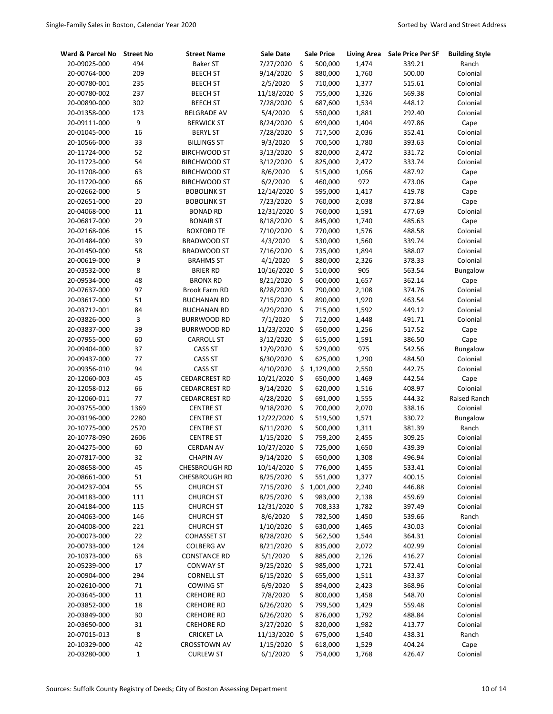| Ward & Parcel No | <b>Street No</b> | <b>Street Name</b>   | Sale Date     |                      | <b>Sale Price</b> | <b>Living Area</b> | <b>Sale Price Per SF</b> | <b>Building Style</b> |
|------------------|------------------|----------------------|---------------|----------------------|-------------------|--------------------|--------------------------|-----------------------|
| 20-09025-000     | 494              | <b>Baker ST</b>      | 7/27/2020     | \$                   | 500,000           | 1,474              | 339.21                   | Ranch                 |
| 20-00764-000     | 209              | <b>BEECH ST</b>      | 9/14/2020     | \$                   | 880,000           | 1,760              | 500.00                   | Colonial              |
| 20-00780-001     | 235              | <b>BEECH ST</b>      | 2/5/2020      | \$                   | 710,000           | 1,377              | 515.61                   | Colonial              |
| 20-00780-002     | 237              | <b>BEECH ST</b>      | 11/18/2020    | $\boldsymbol{\zeta}$ | 755,000           | 1,326              | 569.38                   | Colonial              |
| 20-00890-000     | 302              | <b>BEECH ST</b>      | 7/28/2020     | \$                   | 687,600           | 1,534              | 448.12                   | Colonial              |
| 20-01358-000     | 173              | <b>BELGRADE AV</b>   | 5/4/2020      | \$                   | 550,000           | 1,881              | 292.40                   | Colonial              |
| 20-09111-000     | 9                | <b>BERWICK ST</b>    | 8/24/2020     | \$                   | 699,000           | 1,404              | 497.86                   | Cape                  |
| 20-01045-000     | 16               | <b>BERYL ST</b>      | 7/28/2020     | \$                   | 717,500           | 2,036              | 352.41                   | Colonial              |
| 20-10566-000     | 33               | <b>BILLINGS ST</b>   | 9/3/2020      | \$                   | 700,500           | 1,780              | 393.63                   | Colonial              |
| 20-11724-000     | 52               | <b>BIRCHWOOD ST</b>  | 3/13/2020     | \$                   | 820,000           | 2,472              | 331.72                   | Colonial              |
| 20-11723-000     | 54               | <b>BIRCHWOOD ST</b>  | 3/12/2020     | \$                   | 825,000           | 2,472              | 333.74                   | Colonial              |
| 20-11708-000     | 63               | <b>BIRCHWOOD ST</b>  | 8/6/2020      | \$                   | 515,000           | 1,056              | 487.92                   | Cape                  |
| 20-11720-000     | 66               | <b>BIRCHWOOD ST</b>  | 6/2/2020      | \$                   | 460,000           | 972                | 473.06                   | Cape                  |
| 20-02662-000     | 5                | <b>BOBOLINK ST</b>   | 12/14/2020    | $\zeta$              | 595,000           | 1,417              | 419.78                   | Cape                  |
| 20-02651-000     | 20               | <b>BOBOLINK ST</b>   | 7/23/2020     | \$                   | 760,000           | 2,038              | 372.84                   | Cape                  |
| 20-04068-000     | 11               | <b>BONAD RD</b>      | 12/31/2020    | Ŝ.                   | 760,000           | 1,591              | 477.69                   | Colonial              |
| 20-06817-000     | 29               | <b>BONAIR ST</b>     | 8/18/2020     | \$                   | 845,000           | 1,740              | 485.63                   | Cape                  |
| 20-02168-006     | 15               | <b>BOXFORD TE</b>    | 7/10/2020     | \$                   | 770,000           | 1,576              | 488.58                   | Colonial              |
| 20-01484-000     | 39               | <b>BRADWOOD ST</b>   | 4/3/2020      | \$                   | 530,000           | 1,560              | 339.74                   | Colonial              |
| 20-01450-000     | 58               | <b>BRADWOOD ST</b>   | 7/16/2020     | \$                   | 735,000           | 1,894              | 388.07                   | Colonial              |
| 20-00619-000     | 9                | <b>BRAHMS ST</b>     | 4/1/2020      | \$                   | 880,000           | 2,326              | 378.33                   | Colonial              |
| 20-03532-000     | 8                | <b>BRIER RD</b>      | 10/16/2020    | Ŝ.                   | 510,000           | 905                | 563.54                   | Bungalow              |
| 20-09534-000     | 48               | <b>BRONX RD</b>      | 8/21/2020     | \$                   | 600,000           | 1,657              | 362.14                   | Cape                  |
| 20-07637-000     | 97               | Brook Farm RD        | 8/28/2020     | \$                   | 790,000           | 2,108              | 374.76                   | Colonial              |
| 20-03617-000     | 51               | <b>BUCHANAN RD</b>   | 7/15/2020     | \$                   | 890,000           | 1,920              | 463.54                   | Colonial              |
| 20-03712-001     | 84               | <b>BUCHANAN RD</b>   | 4/29/2020     | \$                   | 715,000           | 1,592              | 449.12                   | Colonial              |
| 20-03826-000     | 3                | <b>BURRWOOD RD</b>   | 7/1/2020      | \$                   | 712,000           | 1,448              | 491.71                   | Colonial              |
| 20-03837-000     | 39               | <b>BURRWOOD RD</b>   | 11/23/2020    | \$                   | 650,000           | 1,256              | 517.52                   | Cape                  |
| 20-07955-000     | 60               | <b>CARROLL ST</b>    | 3/12/2020     | \$                   | 615,000           | 1,591              | 386.50                   | Cape                  |
| 20-09404-000     | 37               | <b>CASS ST</b>       | 12/9/2020     | \$                   | 529,000           | 975                | 542.56                   | Bungalow              |
| 20-09437-000     | 77               | <b>CASS ST</b>       | 6/30/2020     | \$                   | 625,000           | 1,290              | 484.50                   | Colonial              |
| 20-09356-010     | 94               | <b>CASS ST</b>       | 4/10/2020     | \$                   | 1,129,000         | 2,550              | 442.75                   | Colonial              |
| 20-12060-003     | 45               | <b>CEDARCREST RD</b> | 10/21/2020    | \$                   | 650,000           | 1,469              | 442.54                   | Cape                  |
| 20-12058-012     | 66               | <b>CEDARCREST RD</b> | 9/14/2020     | \$                   | 620,000           | 1,516              | 408.97                   | Colonial              |
| 20-12060-011     | 77               | <b>CEDARCREST RD</b> | 4/28/2020     | \$                   | 691,000           | 1,555              | 444.32                   | Raised Ranch          |
| 20-03755-000     | 1369             | <b>CENTRE ST</b>     | 9/18/2020     | \$                   | 700,000           | 2,070              | 338.16                   | Colonial              |
| 20-03196-000     | 2280             | <b>CENTRE ST</b>     | 12/22/2020    | \$                   | 519,500           | 1,571              | 330.72                   | Bungalow              |
| 20-10775-000     | 2570             | <b>CENTRE ST</b>     | 6/11/2020     | \$                   | 500,000           | 1,311              | 381.39                   | Ranch                 |
| 20-10778-090     | 2606             | <b>CENTRE ST</b>     | 1/15/2020     | \$                   | 759,200           | 2,455              | 309.25                   | Colonial              |
| 20-04275-000     | 60               | CERDAN AV            | 10/27/2020    | \$                   | 725,000           | 1,650              | 439.39                   | Colonial              |
| 20-07817-000     | 32               | <b>CHAPIN AV</b>     | 9/14/2020     | \$                   | 650,000           | 1,308              | 496.94                   | Colonial              |
| 20-08658-000     | 45               | CHESBROUGH RD        | 10/14/2020 \$ |                      | 776,000           | 1,455              | 533.41                   | Colonial              |
| 20-08661-000     | 51               | <b>CHESBROUGH RD</b> | 8/25/2020     | \$                   | 551,000           | 1,377              | 400.15                   | Colonial              |
| 20-04237-004     | 55               | <b>CHURCH ST</b>     | 7/15/2020     | \$                   | 1,001,000         | 2,240              | 446.88                   | Colonial              |
| 20-04183-000     | 111              | <b>CHURCH ST</b>     | 8/25/2020     | \$                   | 983,000           | 2,138              | 459.69                   | Colonial              |
| 20-04184-000     | 115              | <b>CHURCH ST</b>     | 12/31/2020 \$ |                      | 708,333           | 1,782              | 397.49                   | Colonial              |
| 20-04063-000     | 146              | <b>CHURCH ST</b>     | 8/6/2020      | \$                   | 782,500           | 1,450              | 539.66                   | Ranch                 |
| 20-04008-000     | 221              | <b>CHURCH ST</b>     | 1/10/2020     | \$                   | 630,000           | 1,465              | 430.03                   | Colonial              |
| 20-00073-000     | 22               | <b>COHASSET ST</b>   | 8/28/2020     | \$                   | 562,500           | 1,544              | 364.31                   | Colonial              |
| 20-00733-000     | 124              | <b>COLBERG AV</b>    | 8/21/2020     | \$                   | 835,000           | 2,072              | 402.99                   | Colonial              |
| 20-10373-000     | 63               | <b>CONSTANCE RD</b>  | 5/1/2020      | \$                   | 885,000           | 2,126              | 416.27                   | Colonial              |
| 20-05239-000     | 17               | <b>CONWAY ST</b>     | 9/25/2020     | \$                   | 985,000           | 1,721              | 572.41                   | Colonial              |
| 20-00904-000     | 294              | <b>CORNELL ST</b>    | 6/15/2020     | \$                   | 655,000           | 1,511              | 433.37                   | Colonial              |
| 20-02610-000     | 71               | <b>COWING ST</b>     | 6/9/2020      | \$                   | 894,000           | 2,423              | 368.96                   | Colonial              |
| 20-03645-000     | 11               | <b>CREHORE RD</b>    | 7/8/2020      | \$                   | 800,000           | 1,458              | 548.70                   | Colonial              |
| 20-03852-000     | 18               | <b>CREHORE RD</b>    | 6/26/2020     | \$                   | 799,500           | 1,429              | 559.48                   | Colonial              |
| 20-03849-000     | 30               | <b>CREHORE RD</b>    | 6/26/2020     | \$                   | 876,000           | 1,792              | 488.84                   | Colonial              |
| 20-03650-000     | 31               | <b>CREHORE RD</b>    | 3/27/2020     | \$                   | 820,000           | 1,982              | 413.77                   | Colonial              |
| 20-07015-013     | 8                | <b>CRICKET LA</b>    | 11/13/2020 \$ |                      | 675,000           | 1,540              | 438.31                   | Ranch                 |
| 20-10329-000     | 42               | <b>CROSSTOWN AV</b>  | 1/15/2020     | \$                   | 618,000           | 1,529              | 404.24                   | Cape                  |
| 20-03280-000     | $\mathbf 1$      | <b>CURLEW ST</b>     | 6/1/2020      | \$                   | 754,000           | 1,768              | 426.47                   | Colonial              |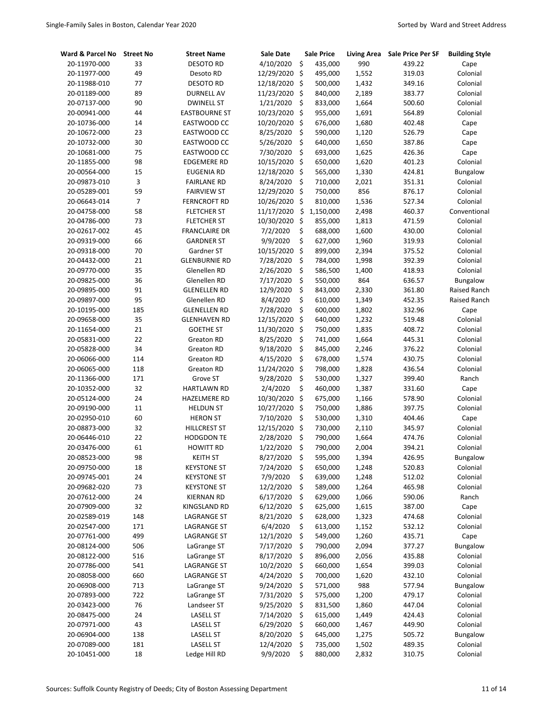| Ward & Parcel No | <b>Street No</b>         | <b>Street Name</b>   | <b>Sale Date</b> |    | <b>Sale Price</b> | <b>Living Area</b> | <b>Sale Price Per SF</b> | <b>Building Style</b> |
|------------------|--------------------------|----------------------|------------------|----|-------------------|--------------------|--------------------------|-----------------------|
| 20-11970-000     | 33                       | <b>DESOTO RD</b>     | 4/10/2020        | \$ | 435,000           | 990                | 439.22                   | Cape                  |
| 20-11977-000     | 49                       | Desoto RD            | 12/29/2020       | \$ | 495,000           | 1,552              | 319.03                   | Colonial              |
| 20-11988-010     | 77                       | <b>DESOTO RD</b>     | 12/18/2020       | \$ | 500,000           | 1,432              | 349.16                   | Colonial              |
| 20-01189-000     | 89                       | <b>DURNELL AV</b>    | 11/23/2020       | \$ | 840,000           | 2,189              | 383.77                   | Colonial              |
| 20-07137-000     | 90                       | <b>DWINELL ST</b>    | 1/21/2020        | \$ | 833,000           | 1,664              | 500.60                   | Colonial              |
| 20-00941-000     | 44                       | <b>EASTBOURNE ST</b> | 10/23/2020       | \$ | 955,000           | 1,691              | 564.89                   | Colonial              |
| 20-10736-000     | 14                       | EASTWOOD CC          | 10/20/2020       | \$ | 676,000           | 1,680              | 402.48                   | Cape                  |
| 20-10672-000     | 23                       | EASTWOOD CC          | 8/25/2020        | \$ | 590,000           | 1,120              | 526.79                   | Cape                  |
| 20-10732-000     | 30                       | EASTWOOD CC          | 5/26/2020        | \$ | 640,000           | 1,650              | 387.86                   | Cape                  |
| 20-10681-000     | 75                       | EASTWOOD CC          | 7/30/2020        | \$ | 693,000           | 1,625              | 426.36                   | Cape                  |
| 20-11855-000     | 98                       | <b>EDGEMERE RD</b>   | 10/15/2020       | \$ | 650,000           | 1,620              | 401.23                   | Colonial              |
| 20-00564-000     | 15                       | <b>EUGENIA RD</b>    | 12/18/2020       | \$ | 565,000           | 1,330              | 424.81                   | Bungalow              |
| 20-09873-010     | 3                        | <b>FAIRLANE RD</b>   | 8/24/2020        | \$ | 710,000           | 2,021              | 351.31                   | Colonial              |
| 20-05289-001     | 59                       | <b>FAIRVIEW ST</b>   | 12/29/2020       | \$ | 750,000           | 856                | 876.17                   | Colonial              |
| 20-06643-014     | $\overline{\mathcal{I}}$ | <b>FERNCROFT RD</b>  | 10/26/2020       | \$ | 810,000           | 1,536              | 527.34                   | Colonial              |
| 20-04758-000     | 58                       | <b>FLETCHER ST</b>   | 11/17/2020       | \$ | 1,150,000         | 2,498              | 460.37                   | Conventional          |
| 20-04786-000     | 73                       | <b>FLETCHER ST</b>   | 10/30/2020       | \$ | 855,000           | 1,813              | 471.59                   | Colonial              |
| 20-02617-002     | 45                       | <b>FRANCLAIRE DR</b> | 7/2/2020         | \$ | 688,000           | 1,600              | 430.00                   | Colonial              |
| 20-09319-000     | 66                       | <b>GARDNER ST</b>    | 9/9/2020         | \$ | 627,000           | 1,960              | 319.93                   | Colonial              |
| 20-09318-000     | 70                       | Gardner ST           | 10/15/2020       | \$ | 899,000           | 2,394              | 375.52                   | Colonial              |
| 20-04432-000     | 21                       | <b>GLENBURNIE RD</b> | 7/28/2020        | \$ | 784,000           | 1,998              | 392.39                   | Colonial              |
| 20-09770-000     | 35                       | Glenellen RD         | 2/26/2020        | \$ | 586,500           | 1,400              | 418.93                   | Colonial              |
| 20-09825-000     | 36                       | Glenellen RD         | 7/17/2020        | \$ | 550,000           | 864                | 636.57                   | Bungalow              |
| 20-09895-000     | 91                       | <b>GLENELLEN RD</b>  | 12/9/2020        | \$ | 843,000           | 2,330              | 361.80                   | Raised Ranch          |
| 20-09897-000     | 95                       | Glenellen RD         | 8/4/2020         | \$ | 610,000           | 1,349              | 452.35                   | Raised Ranch          |
| 20-10195-000     | 185                      | <b>GLENELLEN RD</b>  | 7/28/2020        | \$ | 600,000           | 1,802              | 332.96                   | Cape                  |
| 20-09658-000     | 35                       | <b>GLENHAVEN RD</b>  | 12/15/2020       | \$ | 640,000           | 1,232              | 519.48                   | Colonial              |
| 20-11654-000     | 21                       | <b>GOETHE ST</b>     | 11/30/2020       | \$ | 750,000           | 1,835              | 408.72                   | Colonial              |
| 20-05831-000     | 22                       | Greaton RD           | 8/25/2020        | \$ | 741,000           | 1,664              | 445.31                   | Colonial              |
| 20-05828-000     | 34                       | Greaton RD           | 9/18/2020        | \$ | 845,000           | 2,246              | 376.22                   | Colonial              |
| 20-06066-000     | 114                      | Greaton RD           | 4/15/2020        | \$ | 678,000           | 1,574              | 430.75                   | Colonial              |
| 20-06065-000     | 118                      | Greaton RD           | 11/24/2020       | \$ | 798,000           | 1,828              | 436.54                   | Colonial              |
| 20-11366-000     | 171                      | Grove ST             | 9/28/2020        | \$ | 530,000           | 1,327              | 399.40                   | Ranch                 |
| 20-10352-000     | 32                       | <b>HARTLAWN RD</b>   | 2/4/2020         | \$ | 460,000           | 1,387              | 331.60                   | Cape                  |
| 20-05124-000     | 24                       | <b>HAZELMERE RD</b>  | 10/30/2020       | \$ | 675,000           | 1,166              | 578.90                   | Colonial              |
| 20-09190-000     | 11                       | <b>HELDUN ST</b>     | 10/27/2020       | \$ | 750,000           | 1,886              | 397.75                   | Colonial              |
| 20-02950-010     | 60                       | <b>HERON ST</b>      | 7/10/2020        | \$ | 530,000           | 1,310              | 404.46                   | Cape                  |
| 20-08873-000     | 32                       | <b>HILLCREST ST</b>  | 12/15/2020       | \$ | 730,000           | 2,110              | 345.97                   | Colonial              |
| 20-06446-010     | 22                       | <b>HODGDON TE</b>    | 2/28/2020        | \$ | 790,000           | 1,664              | 474.76                   | Colonial              |
| 20-03476-000     | 61                       | <b>HOWITT RD</b>     | 1/22/2020        | Ś  | 790,000           | 2.004              | 394.21                   | Colonial              |
| 20-08523-000     | 98                       | <b>KEITH ST</b>      | 8/27/2020        | \$ | 595,000           | 1,394              | 426.95                   | Bungalow              |
| 20-09750-000     | 18                       | <b>KEYSTONE ST</b>   | 7/24/2020        | \$ | 650,000           | 1,248              | 520.83                   | Colonial              |
| 20-09745-001     | 24                       | <b>KEYSTONE ST</b>   | 7/9/2020         | \$ | 639,000           | 1,248              | 512.02                   | Colonial              |
| 20-09682-020     | 73                       | <b>KEYSTONE ST</b>   | 12/2/2020        | \$ | 589,000           | 1,264              | 465.98                   | Colonial              |
| 20-07612-000     | 24                       | <b>KIERNAN RD</b>    | 6/17/2020        | \$ | 629,000           | 1,066              | 590.06                   | Ranch                 |
| 20-07909-000     | 32                       | <b>KINGSLAND RD</b>  | 6/12/2020        | \$ | 625,000           | 1,615              | 387.00                   | Cape                  |
| 20-02589-019     | 148                      | LAGRANGE ST          | 8/21/2020        | \$ | 628,000           | 1,323              | 474.68                   | Colonial              |
| 20-02547-000     | 171                      | LAGRANGE ST          | 6/4/2020         | \$ | 613,000           | 1,152              | 532.12                   | Colonial              |
| 20-07761-000     | 499                      | LAGRANGE ST          | 12/1/2020        | \$ | 549,000           | 1,260              | 435.71                   | Cape                  |
| 20-08124-000     | 506                      | LaGrange ST          | 7/17/2020        | \$ | 790,000           | 2,094              | 377.27                   | Bungalow              |
| 20-08122-000     | 516                      | LaGrange ST          | 8/17/2020        | \$ | 896,000           | 2,056              | 435.88                   | Colonial              |
| 20-07786-000     | 541                      | <b>LAGRANGE ST</b>   | 10/2/2020        | \$ | 660,000           | 1,654              | 399.03                   | Colonial              |
| 20-08058-000     | 660                      | LAGRANGE ST          | 4/24/2020        | \$ | 700,000           | 1,620              | 432.10                   | Colonial              |
| 20-06908-000     | 713                      | LaGrange ST          | 9/24/2020        | \$ | 571,000           | 988                | 577.94                   | Bungalow              |
| 20-07893-000     | 722                      | LaGrange ST          | 7/31/2020        | \$ | 575,000           | 1,200              | 479.17                   | Colonial              |
| 20-03423-000     | 76                       | Landseer ST          | 9/25/2020        | \$ | 831,500           | 1,860              | 447.04                   | Colonial              |
| 20-08475-000     | 24                       | <b>LASELL ST</b>     | 7/14/2020        | \$ | 615,000           | 1,449              | 424.43                   | Colonial              |
| 20-07971-000     | 43                       | <b>LASELL ST</b>     | 6/29/2020        | \$ | 660,000           | 1,467              | 449.90                   | Colonial              |
| 20-06904-000     | 138                      | <b>LASELL ST</b>     | 8/20/2020        | \$ | 645,000           | 1,275              | 505.72                   | Bungalow              |
| 20-07089-000     | 181                      | <b>LASELL ST</b>     | 12/4/2020        | \$ | 735,000           | 1,502              | 489.35                   | Colonial              |
| 20-10451-000     | 18                       | Ledge Hill RD        | 9/9/2020         | \$ | 880,000           | 2,832              | 310.75                   | Colonial              |
|                  |                          |                      |                  |    |                   |                    |                          |                       |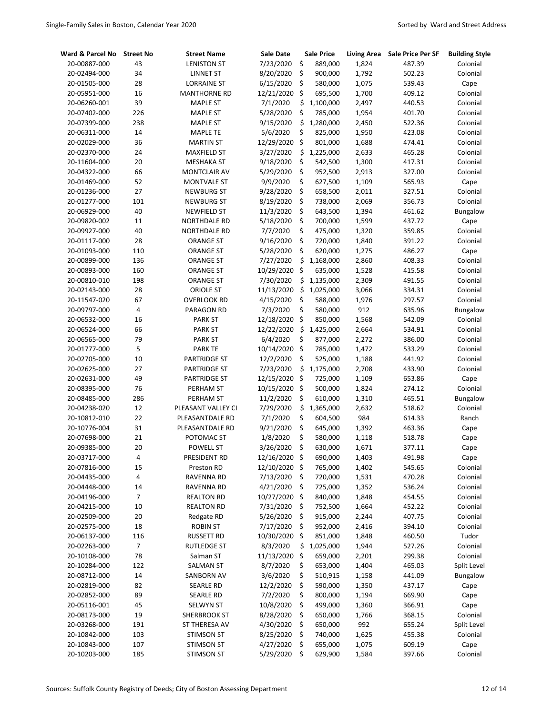| Ward & Parcel No | <b>Street No</b> | <b>Street Name</b>  | <b>Sale Date</b> | <b>Sale Price</b> | <b>Living Area</b> | <b>Sale Price Per SF</b> | <b>Building Style</b> |
|------------------|------------------|---------------------|------------------|-------------------|--------------------|--------------------------|-----------------------|
| 20-00887-000     | 43               | <b>LENISTON ST</b>  | 7/23/2020        | \$<br>889,000     | 1,824              | 487.39                   | Colonial              |
| 20-02494-000     | 34               | <b>LINNET ST</b>    | 8/20/2020        | \$<br>900,000     | 1,792              | 502.23                   | Colonial              |
| 20-01505-000     | 28               | <b>LORRAINE ST</b>  | 6/15/2020        | \$<br>580,000     | 1,075              | 539.43                   | Cape                  |
| 20-05951-000     | 16               | <b>MANTHORNE RD</b> | 12/21/2020       | \$<br>695,500     | 1,700              | 409.12                   | Colonial              |
| 20-06260-001     | 39               | <b>MAPLE ST</b>     | 7/1/2020         | \$<br>1,100,000   | 2,497              | 440.53                   | Colonial              |
| 20-07402-000     | 226              | <b>MAPLE ST</b>     | 5/28/2020        | \$<br>785,000     | 1,954              | 401.70                   | Colonial              |
| 20-07399-000     | 238              | <b>MAPLE ST</b>     | 9/15/2020        | \$<br>1,280,000   | 2,450              | 522.36                   | Colonial              |
| 20-06311-000     | 14               | <b>MAPLE TE</b>     | 5/6/2020         | \$<br>825,000     | 1,950              | 423.08                   | Colonial              |
| 20-02029-000     | 36               | <b>MARTIN ST</b>    | 12/29/2020       | \$<br>801,000     | 1,688              | 474.41                   | Colonial              |
| 20-02370-000     | 24               | <b>MAXFIELD ST</b>  | 3/27/2020        | \$<br>1,225,000   | 2,633              | 465.28                   | Colonial              |
| 20-11604-000     | 20               | <b>MESHAKA ST</b>   | 9/18/2020        | \$<br>542,500     | 1,300              | 417.31                   | Colonial              |
| 20-04322-000     | 66               | MONTCLAIR AV        | 5/29/2020        | \$<br>952,500     | 2,913              | 327.00                   | Colonial              |
| 20-01469-000     | 52               | <b>MONTVALE ST</b>  | 9/9/2020         | \$<br>627,500     | 1,109              | 565.93                   | Cape                  |
| 20-01236-000     | 27               | <b>NEWBURG ST</b>   | 9/28/2020        | \$<br>658,500     | 2,011              | 327.51                   | Colonial              |
| 20-01277-000     | 101              | <b>NEWBURG ST</b>   | 8/19/2020        | \$<br>738,000     | 2,069              | 356.73                   | Colonial              |
| 20-06929-000     | 40               | <b>NEWFIELD ST</b>  | 11/3/2020        | \$<br>643,500     | 1,394              | 461.62                   | Bungalow              |
| 20-09820-002     | 11               | <b>NORTHDALE RD</b> | 5/18/2020        | \$<br>700,000     | 1,599              | 437.72                   | Cape                  |
| 20-09927-000     | 40               | <b>NORTHDALE RD</b> | 7/7/2020         | \$<br>475,000     | 1,320              | 359.85                   | Colonial              |
| 20-01117-000     | 28               | ORANGE ST           | 9/16/2020        | \$<br>720,000     | 1,840              | 391.22                   | Colonial              |
| 20-01093-000     | 110              | <b>ORANGE ST</b>    | 5/28/2020        | \$<br>620,000     | 1,275              | 486.27                   | Cape                  |
| 20-00899-000     | 136              | <b>ORANGE ST</b>    | 7/27/2020        | \$<br>1,168,000   | 2,860              | 408.33                   | Colonial              |
| 20-00893-000     | 160              | <b>ORANGE ST</b>    | 10/29/2020       | \$<br>635,000     | 1,528              | 415.58                   | Colonial              |
| 20-00810-010     | 198              | <b>ORANGE ST</b>    | 7/30/2020        | \$<br>1,135,000   | 2,309              | 491.55                   | Colonial              |
| 20-02143-000     | 28               | ORIOLE ST           | 11/13/2020       | \$<br>1,025,000   | 3,066              | 334.31                   | Colonial              |
| 20-11547-020     | 67               | <b>OVERLOOK RD</b>  | 4/15/2020        | \$<br>588,000     | 1,976              | 297.57                   | Colonial              |
| 20-09797-000     | 4                | PARAGON RD          | 7/3/2020         | \$<br>580,000     | 912                | 635.96                   | Bungalow              |
| 20-06532-000     | 16               | <b>PARK ST</b>      | 12/18/2020       | \$<br>850,000     | 1,568              | 542.09                   | Colonial              |
| 20-06524-000     | 66               | <b>PARK ST</b>      | 12/22/2020       | \$<br>1,425,000   | 2,664              | 534.91                   | Colonial              |
| 20-06565-000     | 79               | <b>PARK ST</b>      | 6/4/2020         | \$<br>877,000     | 2,272              | 386.00                   | Colonial              |
| 20-01777-000     | 5                | <b>PARK TE</b>      | 10/14/2020       | \$<br>785,000     | 1,472              | 533.29                   | Colonial              |
| 20-02705-000     | 10               | <b>PARTRIDGE ST</b> | 12/2/2020        | \$<br>525,000     | 1,188              | 441.92                   | Colonial              |
| 20-02625-000     | 27               | <b>PARTRIDGE ST</b> | 7/23/2020        | \$<br>1,175,000   | 2,708              | 433.90                   | Colonial              |
| 20-02631-000     | 49               | <b>PARTRIDGE ST</b> | 12/15/2020       | -\$<br>725,000    | 1,109              | 653.86                   | Cape                  |
| 20-08395-000     | 76               | PERHAM ST           | 10/15/2020       | \$<br>500,000     | 1,824              | 274.12                   | Colonial              |
| 20-08485-000     | 286              | PERHAM ST           | 11/2/2020        | \$<br>610,000     | 1,310              | 465.51                   | Bungalow              |
| 20-04238-020     | 12               | PLEASANT VALLEY CI  | 7/29/2020        | \$<br>1,365,000   | 2,632              | 518.62                   | Colonial              |
| 20-10812-010     | 22               | PLEASANTDALE RD     | 7/1/2020         | \$<br>604,500     | 984                | 614.33                   | Ranch                 |
| 20-10776-004     | 31               | PLEASANTDALE RD     | 9/21/2020        | \$<br>645,000     | 1,392              | 463.36                   | Cape                  |
| 20-07698-000     | 21               | POTOMAC ST          | 1/8/2020         | \$<br>580,000     | 1,118              | 518.78                   | Cape                  |
| 20-09385-000     | 20               | <b>POWELL ST</b>    | 3/26/2020        | \$<br>630,000     | 1,671              | 377.11                   | Cape                  |
| 20-03717-000     | 4                | PRESIDENT RD        | 12/16/2020 \$    | 690,000           | 1,403              | 491.98                   | Cape                  |
| 20-07816-000     | 15               | Preston RD          | 12/10/2020 \$    | 765,000           | 1,402              | 545.65                   | Colonial              |
| 20-04435-000     | 4                | RAVENNA RD          | 7/13/2020        | \$<br>720,000     | 1,531              | 470.28                   | Colonial              |
| 20-04448-000     | 14               | RAVENNA RD          | 4/21/2020        | \$<br>725,000     | 1,352              | 536.24                   | Colonial              |
| 20-04196-000     | $\overline{7}$   | <b>REALTON RD</b>   | 10/27/2020 \$    | 840,000           | 1,848              | 454.55                   | Colonial              |
| 20-04215-000     | 10               | <b>REALTON RD</b>   | 7/31/2020        | \$<br>752,500     | 1,664              | 452.22                   | Colonial              |
| 20-02509-000     | 20               | Redgate RD          | 5/26/2020        | \$<br>915,000     | 2,244              | 407.75                   | Colonial              |
| 20-02575-000     | 18               | <b>ROBIN ST</b>     | 7/17/2020        | \$<br>952,000     | 2,416              | 394.10                   | Colonial              |
| 20-06137-000     | 116              | <b>RUSSETT RD</b>   | 10/30/2020 \$    | 851,000           | 1,848              | 460.50                   | Tudor                 |
| 20-02263-000     | $\overline{7}$   | RUTLEDGE ST         | 8/3/2020         | \$<br>1,025,000   | 1,944              | 527.26                   | Colonial              |
| 20-10108-000     | 78               | Salman ST           | 11/13/2020       | \$<br>659,000     | 2,201              | 299.38                   | Colonial              |
| 20-10284-000     | 122              | <b>SALMAN ST</b>    | 8/7/2020         | \$<br>653,000     | 1,404              | 465.03                   | Split Level           |
| 20-08712-000     | 14               | SANBORN AV          | 3/6/2020         | \$<br>510,915     | 1,158              | 441.09                   | Bungalow              |
| 20-02819-000     | 82               | <b>SEARLE RD</b>    | 12/2/2020        | \$<br>590,000     | 1,350              | 437.17                   | Cape                  |
| 20-02852-000     | 89               | <b>SEARLE RD</b>    | 7/2/2020         | \$<br>800,000     | 1,194              | 669.90                   | Cape                  |
| 20-05116-001     | 45               | SELWYN ST           | 10/8/2020        | \$<br>499,000     | 1,360              | 366.91                   | Cape                  |
| 20-08173-000     | 19               | <b>SHERBROOK ST</b> | 8/28/2020        | \$<br>650,000     | 1,766              | 368.15                   | Colonial              |
| 20-03268-000     | 191              | ST THERESA AV       | 4/30/2020        | \$<br>650,000     | 992                | 655.24                   | Split Level           |
| 20-10842-000     | 103              | STIMSON ST          | 8/25/2020        | \$<br>740,000     | 1,625              | 455.38                   | Colonial              |
| 20-10843-000     | 107              | <b>STIMSON ST</b>   | 4/27/2020        | \$<br>655,000     | 1,075              | 609.19                   | Cape                  |
| 20-10203-000     | 185              | <b>STIMSON ST</b>   | 5/29/2020        | \$<br>629,900     | 1,584              | 397.66                   | Colonial              |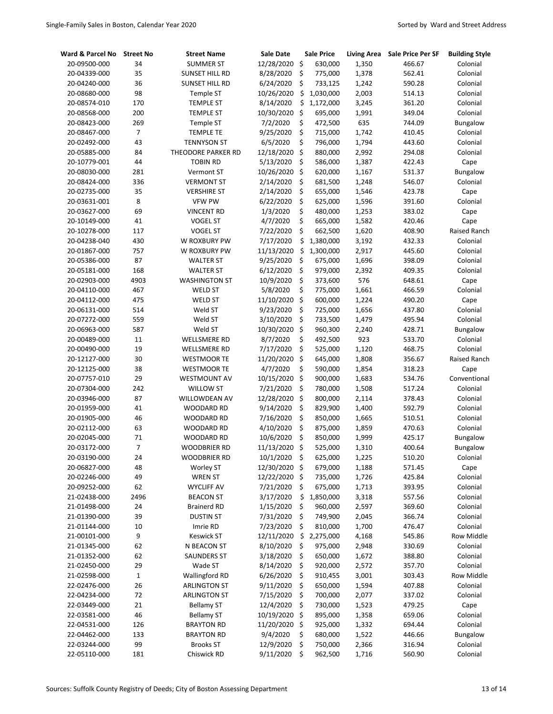| Ward & Parcel No             | <b>Street No</b> | <b>Street Name</b>                     | <b>Sale Date</b>       |                    | <b>Sale Price</b>  | <b>Living Area</b> | <b>Sale Price Per SF</b> | <b>Building Style</b> |
|------------------------------|------------------|----------------------------------------|------------------------|--------------------|--------------------|--------------------|--------------------------|-----------------------|
| 20-09500-000                 | 34               | <b>SUMMER ST</b>                       | 12/28/2020             | \$                 | 630,000            | 1,350              | 466.67                   | Colonial              |
| 20-04339-000                 | 35               | SUNSET HILL RD                         | 8/28/2020              | \$                 | 775,000            | 1,378              | 562.41                   | Colonial              |
| 20-04240-000                 | 36               | SUNSET HILL RD                         | 6/24/2020              | \$                 | 733,125            | 1,242              | 590.28                   | Colonial              |
| 20-08680-000                 | 98               | <b>Temple ST</b>                       | 10/26/2020             | \$                 | 1,030,000          | 2,003              | 514.13                   | Colonial              |
| 20-08574-010                 | 170              | <b>TEMPLE ST</b>                       | 8/14/2020              | \$                 | 1,172,000          | 3,245              | 361.20                   | Colonial              |
| 20-08568-000                 | 200              | <b>TEMPLE ST</b>                       | 10/30/2020             | \$                 | 695,000            | 1,991              | 349.04                   | Colonial              |
| 20-08423-000                 | 269              | <b>Temple ST</b>                       | 7/2/2020               | \$                 | 472,500            | 635                | 744.09                   | Bungalow              |
| 20-08467-000                 | 7                | <b>TEMPLE TE</b>                       | 9/25/2020              | \$                 | 715,000            | 1,742              | 410.45                   | Colonial              |
| 20-02492-000                 | 43               | <b>TENNYSON ST</b>                     | 6/5/2020               | \$                 | 796,000            | 1,794              | 443.60                   | Colonial              |
| 20-05885-000                 | 84               | THEODORE PARKER RD                     | 12/18/2020             | \$                 | 880,000            | 2,992              | 294.08                   | Colonial              |
| 20-10779-001                 | 44               | <b>TOBIN RD</b>                        | 5/13/2020              | \$                 | 586,000            | 1,387              | 422.43                   | Cape                  |
| 20-08030-000                 | 281              | Vermont ST                             | 10/26/2020             | $\ddot{\varsigma}$ | 620,000            | 1,167              | 531.37                   | Bungalow              |
| 20-08424-000                 | 336              | <b>VERMONT ST</b>                      | 2/14/2020              | \$                 | 681,500            | 1,248              | 546.07                   | Colonial              |
| 20-02735-000                 | 35               | <b>VERSHIRE ST</b>                     | 2/14/2020              | \$                 | 655,000            | 1,546              | 423.78                   | Cape                  |
| 20-03631-001                 | 8                | <b>VFW PW</b>                          | 6/22/2020              | \$                 | 625,000            | 1,596              | 391.60                   | Colonial              |
| 20-03627-000                 | 69               | <b>VINCENT RD</b>                      | 1/3/2020               | \$                 | 480,000            | 1,253              | 383.02                   | Cape                  |
| 20-10149-000                 | 41               | <b>VOGEL ST</b>                        | 4/7/2020               | \$                 | 665,000            | 1,582              | 420.46                   | Cape                  |
| 20-10278-000                 | 117              | <b>VOGEL ST</b>                        | 7/22/2020              | \$                 | 662,500            | 1,620              | 408.90                   | Raised Ranch          |
| 20-04238-040                 | 430              | W ROXBURY PW                           | 7/17/2020              | \$                 | 1,380,000          | 3,192              | 432.33                   | Colonial              |
| 20-01867-000                 | 757              | W ROXBURY PW                           | 11/13/2020             | \$                 | 1,300,000          | 2,917              | 445.60                   | Colonial              |
| 20-05386-000                 | 87               | <b>WALTER ST</b>                       | 9/25/2020              | \$                 | 675,000            | 1,696              | 398.09                   | Colonial              |
| 20-05181-000                 | 168              | <b>WALTER ST</b>                       | 6/12/2020              | \$                 | 979,000            | 2,392              | 409.35                   | Colonial              |
| 20-02903-000                 | 4903             | <b>WASHINGTON ST</b>                   | 10/9/2020              | \$                 | 373,600            | 576                | 648.61                   | Cape                  |
| 20-04110-000                 | 467              | <b>WELD ST</b>                         | 5/8/2020               | \$                 | 775,000            | 1,661              | 466.59                   | Colonial              |
| 20-04112-000                 | 475              | <b>WELD ST</b>                         | 11/10/2020             | $\mathsf{\hat{S}}$ | 600,000            | 1,224              | 490.20                   | Cape                  |
| 20-06131-000                 | 514              | Weld ST                                | 9/23/2020              | \$                 | 725,000            | 1,656              | 437.80                   | Colonial              |
| 20-07272-000                 | 559              | Weld ST                                | 3/10/2020              | \$                 | 733,500            | 1,479              | 495.94                   | Colonial              |
| 20-06963-000                 | 587              | Weld ST                                | 10/30/2020             | \$                 | 960,300            | 2,240              | 428.71                   | Bungalow              |
| 20-00489-000                 | 11               | WELLSMERE RD                           | 8/7/2020               | \$                 | 492,500            | 923                | 533.70                   | Colonial              |
| 20-00490-000                 | 19               | WELLSMERE RD                           | 7/17/2020              | \$                 | 525,000            | 1,120              | 468.75                   | Colonial              |
| 20-12127-000                 | 30               | <b>WESTMOOR TE</b>                     | 11/20/2020             | \$                 | 645,000            | 1,808              | 356.67                   | Raised Ranch          |
| 20-12125-000                 | 38               | <b>WESTMOOR TE</b>                     | 4/7/2020               | \$                 | 590,000            | 1,854              | 318.23                   | Cape                  |
| 20-07757-010                 | 29               | <b>WESTMOUNT AV</b>                    | 10/15/2020             | \$                 | 900,000            | 1,683              | 534.76                   | Conventional          |
| 20-07304-000                 | 242              | <b>WILLOW ST</b>                       | 7/21/2020              | \$                 | 780,000            | 1,508              | 517.24                   | Colonial              |
| 20-03946-000                 | 87               | WILLOWDEAN AV                          | 12/28/2020             | \$                 | 800,000            | 2,114              | 378.43                   | Colonial              |
| 20-01959-000                 | 41               | WOODARD RD                             | 9/14/2020              | \$                 | 829,900            | 1,400              | 592.79                   | Colonial              |
| 20-01905-000                 | 46               | WOODARD RD                             | 7/16/2020              | \$                 | 850,000            | 1,665              | 510.51                   | Colonial              |
| 20-02112-000                 | 63               | WOODARD RD                             | 4/10/2020              | \$                 | 875,000            | 1,859              | 470.63                   | Colonial              |
| 20-02045-000                 | 71               | <b>WOODARD RD</b>                      | 10/6/2020              | \$                 | 850,000            | 1,999              | 425.17                   | Bungalow              |
| 20-03172-000                 | 7                | <b>WOODBRIER RD</b>                    | 11/13/2020             | \$                 | 525,000            | 1,310              | 400.64                   | <b>Bungalow</b>       |
| 20-03190-000                 | 24               | <b>WOODBRIER RD</b>                    | 10/1/2020              | \$                 | 625,000            | 1,225              | 510.20                   | Colonial              |
| 20-06827-000                 | 48               | Worley ST                              | 12/30/2020 \$          |                    | 679,000            | 1,188              | 571.45                   | Cape                  |
| 20-02246-000                 | 49               | <b>WREN ST</b>                         | 12/22/2020             | \$                 | 735,000            | 1,726              | 425.84                   | Colonial              |
| 20-09252-000                 | 62               | <b>WYCLIFF AV</b>                      | 7/21/2020              | \$                 | 675,000            | 1,713              | 393.95                   | Colonial              |
| 21-02438-000                 | 2496             | <b>BEACON ST</b>                       | 3/17/2020              | \$                 | 1,850,000          | 3,318              | 557.56                   | Colonial              |
| 21-01498-000                 | 24               | <b>Brainerd RD</b><br><b>DUSTIN ST</b> | 1/15/2020<br>7/31/2020 | \$<br>\$           | 960,000            | 2,597              | 369.60                   | Colonial              |
| 21-01390-000<br>21-01144-000 | 39<br>10         |                                        | 7/23/2020              | \$                 | 749,900<br>810,000 | 2,045<br>1,700     | 366.74<br>476.47         | Colonial<br>Colonial  |
| 21-00101-000                 | 9                | Imrie RD<br><b>Keswick ST</b>          | 12/11/2020             | \$                 | 2,275,000          | 4,168              | 545.86                   | Row Middle            |
| 21-01345-000                 | 62               | N BEACON ST                            | 8/10/2020              | \$                 | 975,000            | 2,948              | 330.69                   | Colonial              |
| 21-01352-000                 | 62               | <b>SAUNDERS ST</b>                     | 3/18/2020              | \$                 | 650,000            | 1,672              | 388.80                   | Colonial              |
| 21-02450-000                 | 29               | Wade ST                                | 8/14/2020              | \$                 | 920,000            | 2,572              | 357.70                   | Colonial              |
| 21-02598-000                 | $\mathbf 1$      | <b>Wallingford RD</b>                  | 6/26/2020              | \$                 | 910,455            | 3,001              | 303.43                   | Row Middle            |
| 22-02476-000                 | 26               | <b>ARLINGTON ST</b>                    | 9/11/2020              | \$                 | 650,000            | 1,594              | 407.88                   | Colonial              |
| 22-04234-000                 | 72               | <b>ARLINGTON ST</b>                    | 7/15/2020              | \$                 | 700,000            | 2,077              | 337.02                   | Colonial              |
| 22-03449-000                 | 21               | <b>Bellamy ST</b>                      | 12/4/2020              | \$                 | 730,000            | 1,523              | 479.25                   | Cape                  |
| 22-03581-000                 | 46               | <b>Bellamy ST</b>                      | 10/19/2020 \$          |                    | 895,000            | 1,358              | 659.06                   | Colonial              |
| 22-04531-000                 | 126              | <b>BRAYTON RD</b>                      | 11/20/2020 \$          |                    | 925,000            | 1,332              | 694.44                   | Colonial              |
| 22-04462-000                 | 133              | <b>BRAYTON RD</b>                      | 9/4/2020               | \$                 | 680,000            | 1,522              | 446.66                   | Bungalow              |
| 22-03244-000                 | 99               | <b>Brooks ST</b>                       | 12/9/2020              | \$                 | 750,000            | 2,366              | 316.94                   | Colonial              |
| 22-05110-000                 | 181              | Chiswick RD                            | 9/11/2020              | \$                 | 962,500            | 1,716              | 560.90                   | Colonial              |